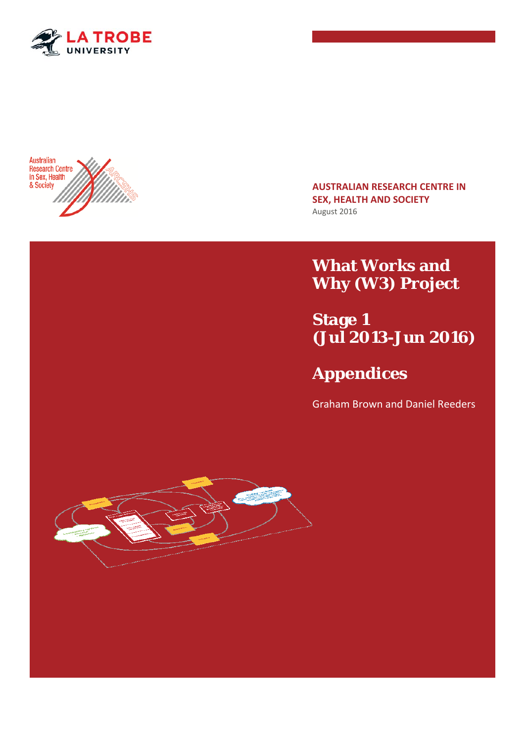



**AUSTRALIAN RESEARCH CENTRE IN SEX, HEALTH AND SOCIETY**  August 2016

**What Works and Why (W3) Project** 

**Stage 1 (Jul 2013-Jun 2016)** 

## **Appendices**

Graham Brown and Daniel Reeders

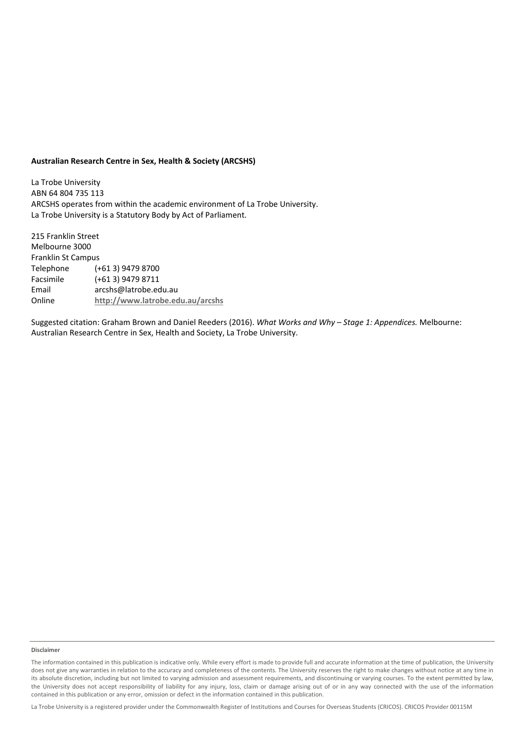#### **Australian Research Centre in Sex, Health & Society (ARCSHS)**

La Trobe University ABN 64 804 735 113 ARCSHS operates from within the academic environment of La Trobe University. La Trobe University is a Statutory Body by Act of Parliament.

215 Franklin Street Melbourne 3000 Franklin St Campus Telephone (+61 3) 9479 8700 Facsimile (+61 3) 9479 8711 Email arcshs@latrobe.edu.au Online **http://www.latrobe.edu.au/arcshs**

Suggested citation: Graham Brown and Daniel Reeders (2016). *What Works and Why – Stage 1: Appendices.* Melbourne: Australian Research Centre in Sex, Health and Society, La Trobe University.

#### **Disclaimer**

La Trobe University is a registered provider under the Commonwealth Register of Institutions and Courses for Overseas Students (CRICOS). CRICOS Provider 00115M

The information contained in this publication is indicative only. While every effort is made to provide full and accurate information at the time of publication, the University does not give any warranties in relation to the accuracy and completeness of the contents. The University reserves the right to make changes without notice at any time in its absolute discretion, including but not limited to varying admission and assessment requirements, and discontinuing or varying courses. To the extent permitted by law, the University does not accept responsibility of liability for any injury, loss, claim or damage arising out of or in any way connected with the use of the information contained in this publication or any error, omission or defect in the information contained in this publication.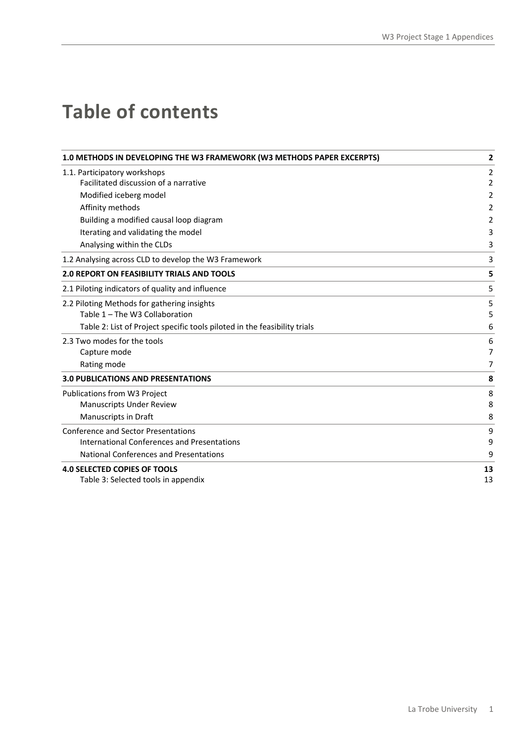# **Table of contents**

| 1.0 METHODS IN DEVELOPING THE W3 FRAMEWORK (W3 METHODS PAPER EXCERPTS)    | 2  |
|---------------------------------------------------------------------------|----|
| 1.1. Participatory workshops                                              | 2  |
| Facilitated discussion of a narrative                                     | 2  |
| Modified iceberg model                                                    | 2  |
| Affinity methods                                                          | 2  |
| Building a modified causal loop diagram                                   | 2  |
| Iterating and validating the model                                        | 3  |
| Analysing within the CLDs                                                 | 3  |
| 1.2 Analysing across CLD to develop the W3 Framework                      | 3  |
| <b>2.0 REPORT ON FEASIBILITY TRIALS AND TOOLS</b>                         | 5  |
| 2.1 Piloting indicators of quality and influence                          | 5  |
| 2.2 Piloting Methods for gathering insights                               | 5  |
| Table 1 - The W3 Collaboration                                            | 5  |
| Table 2: List of Project specific tools piloted in the feasibility trials | 6  |
| 2.3 Two modes for the tools                                               | 6  |
| Capture mode                                                              | 7  |
| Rating mode                                                               | 7  |
| <b>3.0 PUBLICATIONS AND PRESENTATIONS</b>                                 | 8  |
| Publications from W3 Project                                              | 8  |
| <b>Manuscripts Under Review</b>                                           | 8  |
| Manuscripts in Draft                                                      | 8  |
| <b>Conference and Sector Presentations</b>                                | 9  |
| International Conferences and Presentations                               | 9  |
| <b>National Conferences and Presentations</b>                             | 9  |
| <b>4.0 SELECTED COPIES OF TOOLS</b>                                       | 13 |
| Table 3: Selected tools in appendix                                       | 13 |
|                                                                           |    |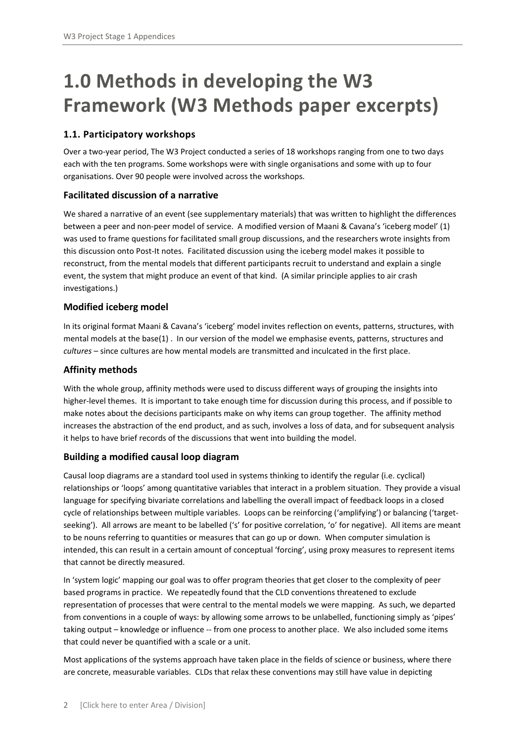# **1.0 Methods in developing the W3 Framework (W3 Methods paper excerpts)**

#### **1.1. Participatory workshops**

Over a two‐year period, The W3 Project conducted a series of 18 workshops ranging from one to two days each with the ten programs. Some workshops were with single organisations and some with up to four organisations. Over 90 people were involved across the workshops.

#### **Facilitated discussion of a narrative**

We shared a narrative of an event (see supplementary materials) that was written to highlight the differences between a peer and non-peer model of service. A modified version of Maani & Cavana's 'iceberg model' (1) was used to frame questions for facilitated small group discussions, and the researchers wrote insights from this discussion onto Post‐It notes. Facilitated discussion using the iceberg model makes it possible to reconstruct, from the mental models that different participants recruit to understand and explain a single event, the system that might produce an event of that kind. (A similar principle applies to air crash investigations.)

#### **Modified iceberg model**

In its original format Maani & Cavana's 'iceberg' model invites reflection on events, patterns, structures, with mental models at the base(1) . In our version of the model we emphasise events, patterns, structures and *cultures* – since cultures are how mental models are transmitted and inculcated in the first place.

#### **Affinity methods**

With the whole group, affinity methods were used to discuss different ways of grouping the insights into higher-level themes. It is important to take enough time for discussion during this process, and if possible to make notes about the decisions participants make on why items can group together. The affinity method increases the abstraction of the end product, and as such, involves a loss of data, and for subsequent analysis it helps to have brief records of the discussions that went into building the model.

#### **Building a modified causal loop diagram**

Causal loop diagrams are a standard tool used in systems thinking to identify the regular (i.e. cyclical) relationships or 'loops' among quantitative variables that interact in a problem situation. They provide a visual language for specifying bivariate correlations and labelling the overall impact of feedback loops in a closed cycle of relationships between multiple variables. Loops can be reinforcing ('amplifying') or balancing ('targetseeking'). All arrows are meant to be labelled ('s' for positive correlation, 'o' for negative). All items are meant to be nouns referring to quantities or measures that can go up or down. When computer simulation is intended, this can result in a certain amount of conceptual 'forcing', using proxy measures to represent items that cannot be directly measured.

In 'system logic' mapping our goal was to offer program theories that get closer to the complexity of peer based programs in practice. We repeatedly found that the CLD conventions threatened to exclude representation of processes that were central to the mental models we were mapping. As such, we departed from conventions in a couple of ways: by allowing some arrows to be unlabelled, functioning simply as 'pipes' taking output – knowledge or influence -- from one process to another place. We also included some items that could never be quantified with a scale or a unit.

Most applications of the systems approach have taken place in the fields of science or business, where there are concrete, measurable variables. CLDs that relax these conventions may still have value in depicting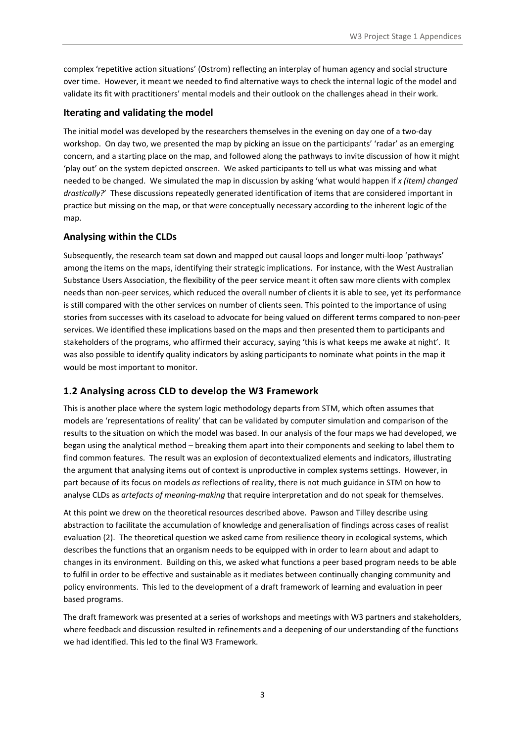complex 'repetitive action situations' (Ostrom) reflecting an interplay of human agency and social structure over time. However, it meant we needed to find alternative ways to check the internal logic of the model and validate its fit with practitioners' mental models and their outlook on the challenges ahead in their work.

#### **Iterating and validating the model**

The initial model was developed by the researchers themselves in the evening on day one of a two‐day workshop. On day two, we presented the map by picking an issue on the participants' 'radar' as an emerging concern, and a starting place on the map, and followed along the pathways to invite discussion of how it might 'play out' on the system depicted onscreen. We asked participants to tell us what was missing and what needed to be changed. We simulated the map in discussion by asking 'what would happen if *x (item) changed drastically?*' These discussions repeatedly generated identification of items that are considered important in practice but missing on the map, or that were conceptually necessary according to the inherent logic of the map.

#### **Analysing within the CLDs**

Subsequently, the research team sat down and mapped out causal loops and longer multi‐loop 'pathways' among the items on the maps, identifying their strategic implications. For instance, with the West Australian Substance Users Association, the flexibility of the peer service meant it often saw more clients with complex needs than non‐peer services, which reduced the overall number of clients it is able to see, yet its performance is still compared with the other services on number of clients seen. This pointed to the importance of using stories from successes with its caseload to advocate for being valued on different terms compared to non‐peer services. We identified these implications based on the maps and then presented them to participants and stakeholders of the programs, who affirmed their accuracy, saying 'this is what keeps me awake at night'. It was also possible to identify quality indicators by asking participants to nominate what points in the map it would be most important to monitor.

#### **1.2 Analysing across CLD to develop the W3 Framework**

This is another place where the system logic methodology departs from STM, which often assumes that models are 'representations of reality' that can be validated by computer simulation and comparison of the results to the situation on which the model was based. In our analysis of the four maps we had developed, we began using the analytical method – breaking them apart into their components and seeking to label them to find common features. The result was an explosion of decontextualized elements and indicators, illustrating the argument that analysing items out of context is unproductive in complex systems settings. However, in part because of its focus on models *as* reflections of reality, there is not much guidance in STM on how to analyse CLDs as *artefacts of meaning‐making* that require interpretation and do not speak for themselves.

At this point we drew on the theoretical resources described above. Pawson and Tilley describe using abstraction to facilitate the accumulation of knowledge and generalisation of findings across cases of realist evaluation (2). The theoretical question we asked came from resilience theory in ecological systems, which describes the functions that an organism needs to be equipped with in order to learn about and adapt to changes in its environment. Building on this, we asked what functions a peer based program needs to be able to fulfil in order to be effective and sustainable as it mediates between continually changing community and policy environments. This led to the development of a draft framework of learning and evaluation in peer based programs.

The draft framework was presented at a series of workshops and meetings with W3 partners and stakeholders, where feedback and discussion resulted in refinements and a deepening of our understanding of the functions we had identified. This led to the final W3 Framework.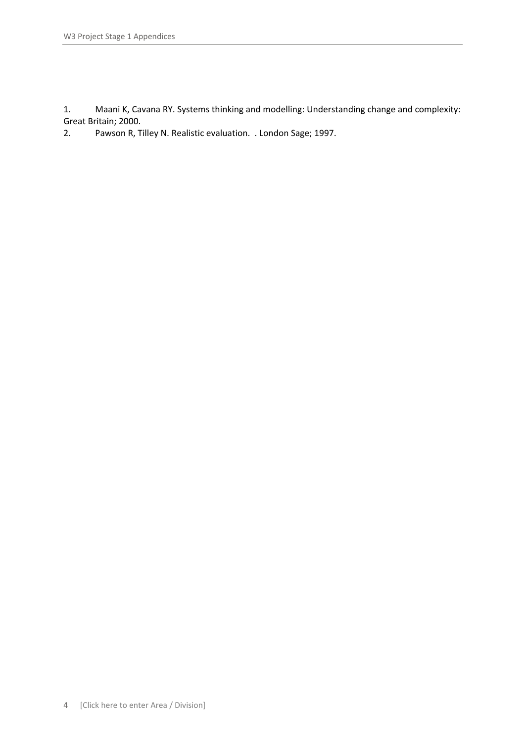1. Maani K, Cavana RY. Systems thinking and modelling: Understanding change and complexity: Great Britain; 2000.

2. Pawson R, Tilley N. Realistic evaluation. . London Sage; 1997.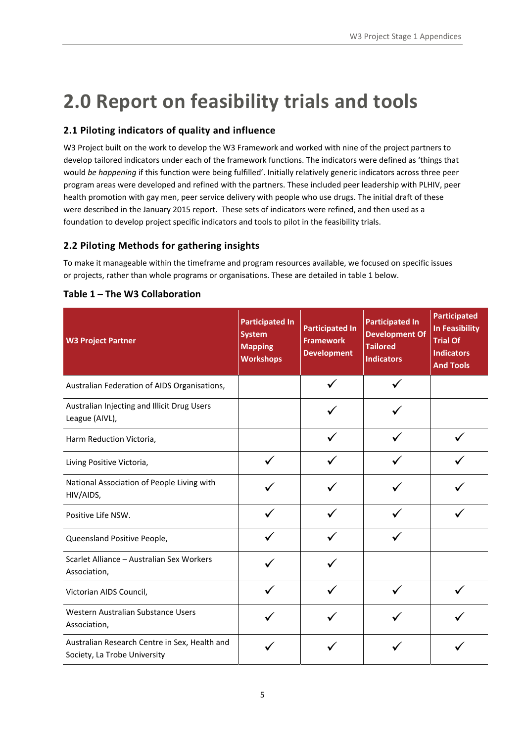# **2.0 Report on feasibility trials and tools**

#### **2.1 Piloting indicators of quality and influence**

W3 Project built on the work to develop the W3 Framework and worked with nine of the project partners to develop tailored indicators under each of the framework functions. The indicators were defined as 'things that would *be happening* if this function were being fulfilled'. Initially relatively generic indicators across three peer program areas were developed and refined with the partners. These included peer leadership with PLHIV, peer health promotion with gay men, peer service delivery with people who use drugs. The initial draft of these were described in the January 2015 report. These sets of indicators were refined, and then used as a foundation to develop project specific indicators and tools to pilot in the feasibility trials.

#### **2.2 Piloting Methods for gathering insights**

To make it manageable within the timeframe and program resources available, we focused on specific issues or projects, rather than whole programs or organisations. These are detailed in table 1 below.

| <b>W3 Project Partner</b>                                                     | <b>Participated In</b><br><b>System</b><br><b>Mapping</b><br><b>Workshops</b> | <b>Participated In</b><br><b>Framework</b><br><b>Development</b> | <b>Participated In</b><br><b>Development Of</b><br><b>Tailored</b><br><b>Indicators</b> | <b>Participated</b><br><b>In Feasibility</b><br><b>Trial Of</b><br><b>Indicators</b><br><b>And Tools</b> |
|-------------------------------------------------------------------------------|-------------------------------------------------------------------------------|------------------------------------------------------------------|-----------------------------------------------------------------------------------------|----------------------------------------------------------------------------------------------------------|
| Australian Federation of AIDS Organisations,                                  |                                                                               |                                                                  |                                                                                         |                                                                                                          |
| Australian Injecting and Illicit Drug Users<br>League (AIVL),                 |                                                                               |                                                                  |                                                                                         |                                                                                                          |
| Harm Reduction Victoria,                                                      |                                                                               |                                                                  |                                                                                         |                                                                                                          |
| Living Positive Victoria,                                                     |                                                                               |                                                                  |                                                                                         |                                                                                                          |
| National Association of People Living with<br>HIV/AIDS,                       |                                                                               |                                                                  |                                                                                         |                                                                                                          |
| Positive Life NSW.                                                            |                                                                               |                                                                  |                                                                                         |                                                                                                          |
| Queensland Positive People,                                                   |                                                                               |                                                                  |                                                                                         |                                                                                                          |
| Scarlet Alliance - Australian Sex Workers<br>Association,                     |                                                                               |                                                                  |                                                                                         |                                                                                                          |
| Victorian AIDS Council,                                                       |                                                                               |                                                                  |                                                                                         |                                                                                                          |
| Western Australian Substance Users<br>Association,                            |                                                                               |                                                                  |                                                                                         |                                                                                                          |
| Australian Research Centre in Sex, Health and<br>Society, La Trobe University |                                                                               |                                                                  |                                                                                         |                                                                                                          |

#### **Table 1 – The W3 Collaboration**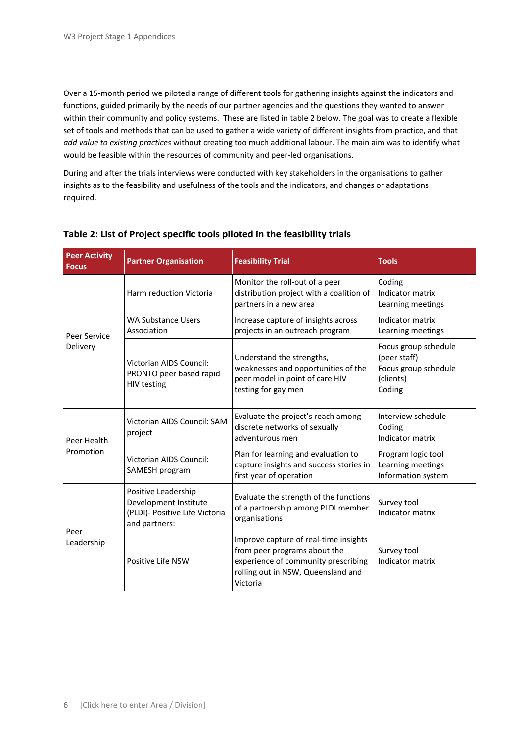Over a 15‐month period we piloted a range of different tools for gathering insights against the indicators and functions, guided primarily by the needs of our partner agencies and the questions they wanted to answer within their community and policy systems. These are listed in table 2 below. The goal was to create a flexible set of tools and methods that can be used to gather a wide variety of different insights from practice, and that *add value to existing practices* without creating too much additional labour. The main aim was to identify what would be feasible within the resources of community and peer‐led organisations.

During and after the trials interviews were conducted with key stakeholders in the organisations to gather insights as to the feasibility and usefulness of the tools and the indicators, and changes or adaptations required.

| <b>Peer Activity</b><br><b>Focus</b> | <b>Partner Organisation</b>                                                                     | <b>Feasibility Trial</b>                                                                                                                                       | <b>Tools</b>                                                                        |
|--------------------------------------|-------------------------------------------------------------------------------------------------|----------------------------------------------------------------------------------------------------------------------------------------------------------------|-------------------------------------------------------------------------------------|
| Peer Service                         | Harm reduction Victoria                                                                         | Monitor the roll-out of a peer<br>distribution project with a coalition of<br>partners in a new area                                                           | Coding<br>Indicator matrix<br>Learning meetings                                     |
|                                      | <b>WA Substance Users</b><br>Association                                                        | Increase capture of insights across<br>projects in an outreach program                                                                                         | Indicator matrix<br>Learning meetings                                               |
| Delivery                             | <b>Victorian AIDS Council:</b><br>PRONTO peer based rapid<br><b>HIV testing</b>                 | Understand the strengths,<br>weaknesses and opportunities of the<br>peer model in point of care HIV<br>testing for gay men                                     | Focus group schedule<br>(peer staff)<br>Focus group schedule<br>(clients)<br>Coding |
| Peer Health<br>Promotion             | Victorian AIDS Council: SAM<br>project                                                          | Evaluate the project's reach among<br>discrete networks of sexually<br>adventurous men                                                                         | Interview schedule<br>Coding<br>Indicator matrix                                    |
|                                      | Victorian AIDS Council:<br>SAMESH program                                                       | Plan for learning and evaluation to<br>capture insights and success stories in<br>first year of operation                                                      | Program logic tool<br>Learning meetings<br>Information system                       |
| Peer<br>Leadership                   | Positive Leadership<br>Development Institute<br>(PLDI)- Positive Life Victoria<br>and partners: | Evaluate the strength of the functions<br>of a partnership among PLDI member<br>organisations                                                                  | Survey tool<br>Indicator matrix                                                     |
|                                      | Positive Life NSW                                                                               | Improve capture of real-time insights<br>from peer programs about the<br>experience of community prescribing<br>rolling out in NSW, Queensland and<br>Victoria | Survey tool<br>Indicator matrix                                                     |

#### **Table 2: List of Project specific tools piloted in the feasibility trials**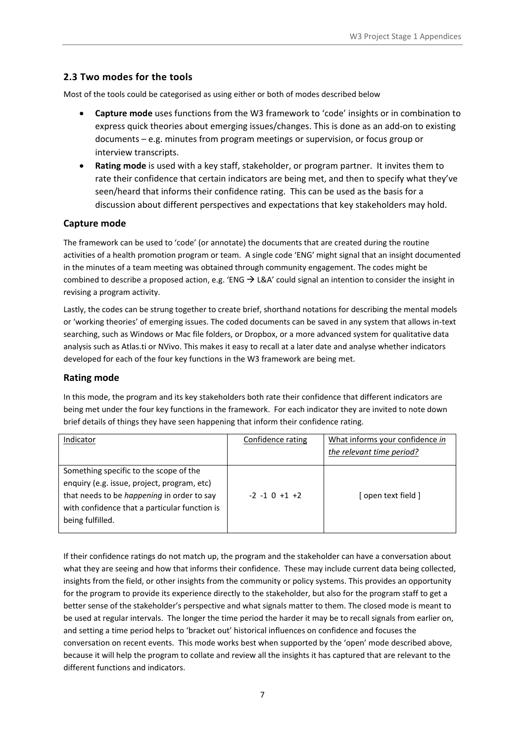#### **2.3 Two modes for the tools**

Most of the tools could be categorised as using either or both of modes described below

- **Capture mode** uses functions from the W3 framework to 'code' insights or in combination to express quick theories about emerging issues/changes. This is done as an add‐on to existing documents – e.g. minutes from program meetings or supervision, or focus group or interview transcripts.
- **Rating mode** is used with a key staff, stakeholder, or program partner. It invites them to rate their confidence that certain indicators are being met, and then to specify what they've seen/heard that informs their confidence rating. This can be used as the basis for a discussion about different perspectives and expectations that key stakeholders may hold.

#### **Capture mode**

The framework can be used to 'code' (or annotate) the documents that are created during the routine activities of a health promotion program or team. A single code 'ENG' might signal that an insight documented in the minutes of a team meeting was obtained through community engagement. The codes might be combined to describe a proposed action, e.g. 'ENG  $\rightarrow$  L&A' could signal an intention to consider the insight in revising a program activity.

Lastly, the codes can be strung together to create brief, shorthand notations for describing the mental models or 'working theories' of emerging issues. The coded documents can be saved in any system that allows in‐text searching, such as Windows or Mac file folders, or Dropbox, or a more advanced system for qualitative data analysis such as Atlas.ti or NVivo. This makes it easy to recall at a later date and analyse whether indicators developed for each of the four key functions in the W3 framework are being met.

#### **Rating mode**

In this mode, the program and its key stakeholders both rate their confidence that different indicators are being met under the four key functions in the framework. For each indicator they are invited to note down brief details of things they have seen happening that inform their confidence rating.

| Indicator                                                                                                                                                                                                | Confidence rating  | What informs your confidence in<br>the relevant time period? |
|----------------------------------------------------------------------------------------------------------------------------------------------------------------------------------------------------------|--------------------|--------------------------------------------------------------|
| Something specific to the scope of the<br>enquiry (e.g. issue, project, program, etc)<br>that needs to be happening in order to say<br>with confidence that a particular function is<br>being fulfilled. | $-2 - 1 0 + 1 + 2$ | [ open text field ]                                          |

If their confidence ratings do not match up, the program and the stakeholder can have a conversation about what they are seeing and how that informs their confidence. These may include current data being collected, insights from the field, or other insights from the community or policy systems. This provides an opportunity for the program to provide its experience directly to the stakeholder, but also for the program staff to get a better sense of the stakeholder's perspective and what signals matter to them. The closed mode is meant to be used at regular intervals. The longer the time period the harder it may be to recall signals from earlier on, and setting a time period helps to 'bracket out' historical influences on confidence and focuses the conversation on recent events. This mode works best when supported by the 'open' mode described above, because it will help the program to collate and review all the insights it has captured that are relevant to the different functions and indicators.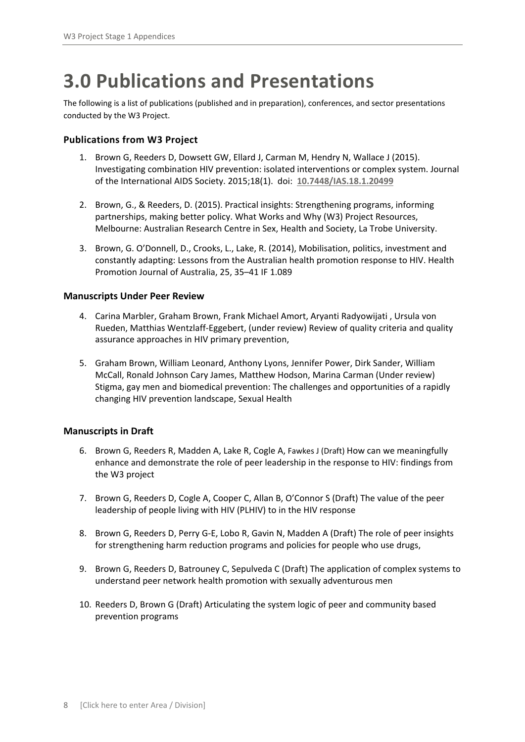## **3.0 Publications and Presentations**

The following is a list of publications (published and in preparation), conferences, and sector presentations conducted by the W3 Project.

#### **Publications from W3 Project**

- 1. Brown G, Reeders D, Dowsett GW, Ellard J, Carman M, Hendry N, Wallace J (2015). Investigating combination HIV prevention: isolated interventions or complex system. Journal of the International AIDS Society. 2015;18(1). doi: **10.7448/IAS.18.1.20499**
- 2. Brown, G., & Reeders, D. (2015). Practical insights: Strengthening programs, informing partnerships, making better policy. What Works and Why (W3) Project Resources, Melbourne: Australian Research Centre in Sex, Health and Society, La Trobe University.
- 3. Brown, G. O'Donnell, D., Crooks, L., Lake, R. (2014), Mobilisation, politics, investment and constantly adapting: Lessons from the Australian health promotion response to HIV. Health Promotion Journal of Australia, 25, 35–41 IF 1.089

#### **Manuscripts Under Peer Review**

- 4. Carina Marbler, Graham Brown, Frank Michael Amort, Aryanti Radyowijati , Ursula von Rueden, Matthias Wentzlaff‐Eggebert, (under review) Review of quality criteria and quality assurance approaches in HIV primary prevention,
- 5. Graham Brown, William Leonard, Anthony Lyons, Jennifer Power, Dirk Sander, William McCall, Ronald Johnson Cary James, Matthew Hodson, Marina Carman (Under review) Stigma, gay men and biomedical prevention: The challenges and opportunities of a rapidly changing HIV prevention landscape, Sexual Health

#### **Manuscripts in Draft**

- 6. Brown G, Reeders R, Madden A, Lake R, Cogle A, Fawkes J (Draft) How can we meaningfully enhance and demonstrate the role of peer leadership in the response to HIV: findings from the W3 project
- 7. Brown G, Reeders D, Cogle A, Cooper C, Allan B, O'Connor S (Draft) The value of the peer leadership of people living with HIV (PLHIV) to in the HIV response
- 8. Brown G, Reeders D, Perry G‐E, Lobo R, Gavin N, Madden A (Draft) The role of peer insights for strengthening harm reduction programs and policies for people who use drugs,
- 9. Brown G, Reeders D, Batrouney C, Sepulveda C (Draft) The application of complex systems to understand peer network health promotion with sexually adventurous men
- 10. Reeders D, Brown G (Draft) Articulating the system logic of peer and community based prevention programs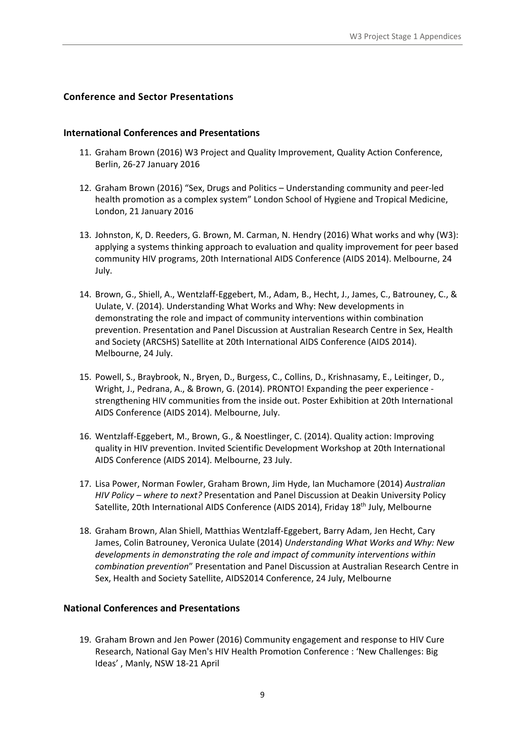#### **Conference and Sector Presentations**

#### **International Conferences and Presentations**

- 11. Graham Brown (2016) W3 Project and Quality Improvement, Quality Action Conference, Berlin, 26‐27 January 2016
- 12. Graham Brown (2016) "Sex, Drugs and Politics Understanding community and peer‐led health promotion as a complex system" London School of Hygiene and Tropical Medicine, London, 21 January 2016
- 13. Johnston, K, D. Reeders, G. Brown, M. Carman, N. Hendry (2016) What works and why (W3): applying a systems thinking approach to evaluation and quality improvement for peer based community HIV programs, 20th International AIDS Conference (AIDS 2014). Melbourne, 24 July.
- 14. Brown, G., Shiell, A., Wentzlaff‐Eggebert, M., Adam, B., Hecht, J., James, C., Batrouney, C., & Uulate, V. (2014). Understanding What Works and Why: New developments in demonstrating the role and impact of community interventions within combination prevention. Presentation and Panel Discussion at Australian Research Centre in Sex, Health and Society (ARCSHS) Satellite at 20th International AIDS Conference (AIDS 2014). Melbourne, 24 July.
- 15. Powell, S., Braybrook, N., Bryen, D., Burgess, C., Collins, D., Krishnasamy, E., Leitinger, D., Wright, J., Pedrana, A., & Brown, G. (2014). PRONTO! Expanding the peer experience ‐ strengthening HIV communities from the inside out. Poster Exhibition at 20th International AIDS Conference (AIDS 2014). Melbourne, July.
- 16. Wentzlaff‐Eggebert, M., Brown, G., & Noestlinger, C. (2014). Quality action: Improving quality in HIV prevention. Invited Scientific Development Workshop at 20th International AIDS Conference (AIDS 2014). Melbourne, 23 July.
- 17. Lisa Power, Norman Fowler, Graham Brown, Jim Hyde, Ian Muchamore (2014) *Australian HIV Policy – where to next?* Presentation and Panel Discussion at Deakin University Policy Satellite, 20th International AIDS Conference (AIDS 2014), Friday 18<sup>th</sup> July, Melbourne
- 18. Graham Brown, Alan Shiell, Matthias Wentzlaff‐Eggebert, Barry Adam, Jen Hecht, Cary James, Colin Batrouney, Veronica Uulate (2014) *Understanding What Works and Why: New developments in demonstrating the role and impact of community interventions within combination prevention*" Presentation and Panel Discussion at Australian Research Centre in Sex, Health and Society Satellite, AIDS2014 Conference, 24 July, Melbourne

#### **National Conferences and Presentations**

19. Graham Brown and Jen Power (2016) Community engagement and response to HIV Cure Research, National Gay Men's HIV Health Promotion Conference : 'New Challenges: Big Ideas' , Manly, NSW 18‐21 April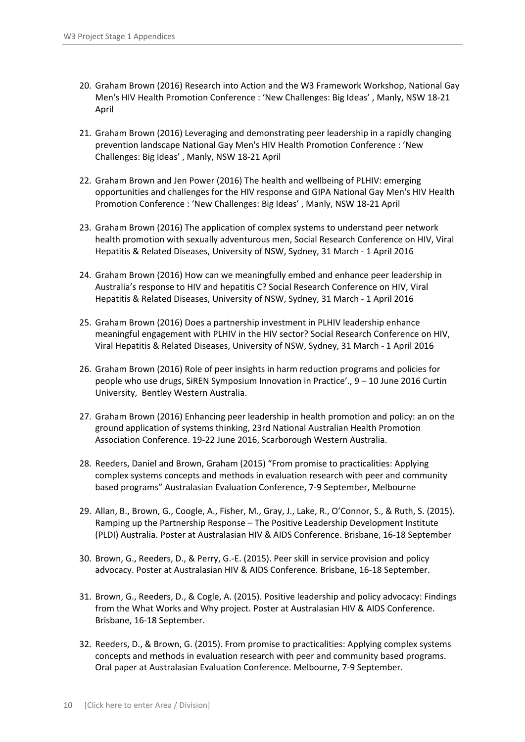- 20. Graham Brown (2016) Research into Action and the W3 Framework Workshop, National Gay Men's HIV Health Promotion Conference : 'New Challenges: Big Ideas' , Manly, NSW 18‐21 April
- 21. Graham Brown (2016) Leveraging and demonstrating peer leadership in a rapidly changing prevention landscape National Gay Men's HIV Health Promotion Conference : 'New Challenges: Big Ideas' , Manly, NSW 18‐21 April
- 22. Graham Brown and Jen Power (2016) The health and wellbeing of PLHIV: emerging opportunities and challenges for the HIV response and GIPA National Gay Men's HIV Health Promotion Conference : 'New Challenges: Big Ideas' , Manly, NSW 18‐21 April
- 23. Graham Brown (2016) The application of complex systems to understand peer network health promotion with sexually adventurous men, Social Research Conference on HIV, Viral Hepatitis & Related Diseases, University of NSW, Sydney, 31 March ‐ 1 April 2016
- 24. Graham Brown (2016) How can we meaningfully embed and enhance peer leadership in Australia's response to HIV and hepatitis C? Social Research Conference on HIV, Viral Hepatitis & Related Diseases, University of NSW, Sydney, 31 March ‐ 1 April 2016
- 25. Graham Brown (2016) Does a partnership investment in PLHIV leadership enhance meaningful engagement with PLHIV in the HIV sector? Social Research Conference on HIV, Viral Hepatitis & Related Diseases, University of NSW, Sydney, 31 March ‐ 1 April 2016
- 26. Graham Brown (2016) Role of peer insights in harm reduction programs and policies for people who use drugs, SiREN Symposium Innovation in Practice'., 9 – 10 June 2016 Curtin University, Bentley Western Australia.
- 27. Graham Brown (2016) Enhancing peer leadership in health promotion and policy: an on the ground application of systems thinking, 23rd National Australian Health Promotion Association Conference. 19‐22 June 2016, Scarborough Western Australia.
- 28. Reeders, Daniel and Brown, Graham (2015) "From promise to practicalities: Applying complex systems concepts and methods in evaluation research with peer and community based programs" Australasian Evaluation Conference, 7‐9 September, Melbourne
- 29. Allan, B., Brown, G., Coogle, A., Fisher, M., Gray, J., Lake, R., O'Connor, S., & Ruth, S. (2015). Ramping up the Partnership Response – The Positive Leadership Development Institute (PLDI) Australia. Poster at Australasian HIV & AIDS Conference. Brisbane, 16‐18 September
- 30. Brown, G., Reeders, D., & Perry, G.‐E. (2015). Peer skill in service provision and policy advocacy. Poster at Australasian HIV & AIDS Conference. Brisbane, 16‐18 September.
- 31. Brown, G., Reeders, D., & Cogle, A. (2015). Positive leadership and policy advocacy: Findings from the What Works and Why project. Poster at Australasian HIV & AIDS Conference. Brisbane, 16‐18 September.
- 32. Reeders, D., & Brown, G. (2015). From promise to practicalities: Applying complex systems concepts and methods in evaluation research with peer and community based programs. Oral paper at Australasian Evaluation Conference. Melbourne, 7‐9 September.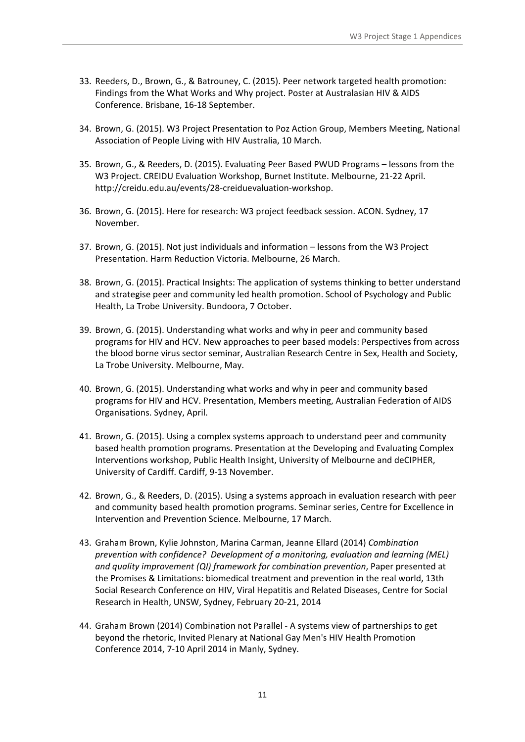- 33. Reeders, D., Brown, G., & Batrouney, C. (2015). Peer network targeted health promotion: Findings from the What Works and Why project. Poster at Australasian HIV & AIDS Conference. Brisbane, 16‐18 September.
- 34. Brown, G. (2015). W3 Project Presentation to Poz Action Group, Members Meeting, National Association of People Living with HIV Australia, 10 March.
- 35. Brown, G., & Reeders, D. (2015). Evaluating Peer Based PWUD Programs lessons from the W3 Project. CREIDU Evaluation Workshop, Burnet Institute. Melbourne, 21‐22 April. http://creidu.edu.au/events/28‐creiduevaluation‐workshop.
- 36. Brown, G. (2015). Here for research: W3 project feedback session. ACON. Sydney, 17 November.
- 37. Brown, G. (2015). Not just individuals and information lessons from the W3 Project Presentation. Harm Reduction Victoria. Melbourne, 26 March.
- 38. Brown, G. (2015). Practical Insights: The application of systems thinking to better understand and strategise peer and community led health promotion. School of Psychology and Public Health, La Trobe University. Bundoora, 7 October.
- 39. Brown, G. (2015). Understanding what works and why in peer and community based programs for HIV and HCV. New approaches to peer based models: Perspectives from across the blood borne virus sector seminar, Australian Research Centre in Sex, Health and Society, La Trobe University. Melbourne, May.
- 40. Brown, G. (2015). Understanding what works and why in peer and community based programs for HIV and HCV. Presentation, Members meeting, Australian Federation of AIDS Organisations. Sydney, April.
- 41. Brown, G. (2015). Using a complex systems approach to understand peer and community based health promotion programs. Presentation at the Developing and Evaluating Complex Interventions workshop, Public Health Insight, University of Melbourne and deCIPHER, University of Cardiff. Cardiff, 9‐13 November.
- 42. Brown, G., & Reeders, D. (2015). Using a systems approach in evaluation research with peer and community based health promotion programs. Seminar series, Centre for Excellence in Intervention and Prevention Science. Melbourne, 17 March.
- 43. Graham Brown, Kylie Johnston, Marina Carman, Jeanne Ellard (2014) *Combination prevention with confidence? Development of a monitoring, evaluation and learning (MEL) and quality improvement (QI) framework for combination prevention*, Paper presented at the Promises & Limitations: biomedical treatment and prevention in the real world, 13th Social Research Conference on HIV, Viral Hepatitis and Related Diseases, Centre for Social Research in Health, UNSW, Sydney, February 20‐21, 2014
- 44. Graham Brown (2014) Combination not Parallel ‐ A systems view of partnerships to get beyond the rhetoric, Invited Plenary at National Gay Men's HIV Health Promotion Conference 2014, 7‐10 April 2014 in Manly, Sydney.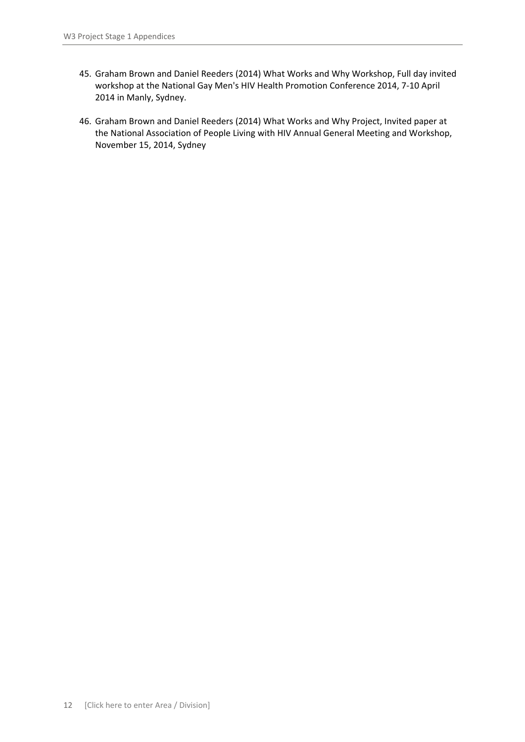- 45. Graham Brown and Daniel Reeders (2014) What Works and Why Workshop, Full day invited workshop at the National Gay Men's HIV Health Promotion Conference 2014, 7‐10 April 2014 in Manly, Sydney.
- 46. Graham Brown and Daniel Reeders (2014) What Works and Why Project, Invited paper at the National Association of People Living with HIV Annual General Meeting and Workshop, November 15, 2014, Sydney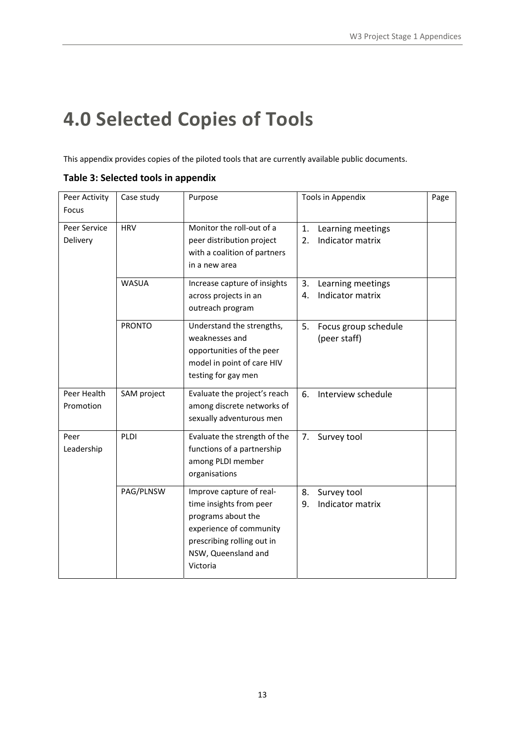# **4.0 Selected Copies of Tools**

This appendix provides copies of the piloted tools that are currently available public documents.

| Peer Activity<br>Focus   | Case study    | Purpose                                                                                                                                                               | Tools in Appendix                                 | Page |
|--------------------------|---------------|-----------------------------------------------------------------------------------------------------------------------------------------------------------------------|---------------------------------------------------|------|
| Peer Service<br>Delivery | <b>HRV</b>    | Monitor the roll-out of a<br>peer distribution project<br>with a coalition of partners<br>in a new area                                                               | 1.<br>Learning meetings<br>Indicator matrix<br>2. |      |
|                          | <b>WASUA</b>  | Increase capture of insights<br>across projects in an<br>outreach program                                                                                             | Learning meetings<br>3.<br>Indicator matrix<br>4. |      |
|                          | <b>PRONTO</b> | Understand the strengths,<br>weaknesses and<br>opportunities of the peer<br>model in point of care HIV<br>testing for gay men                                         | 5.<br>Focus group schedule<br>(peer staff)        |      |
| Peer Health<br>Promotion | SAM project   | Evaluate the project's reach<br>among discrete networks of<br>sexually adventurous men                                                                                | Interview schedule<br>6.                          |      |
| Peer<br>Leadership       | PLDI          | Evaluate the strength of the<br>functions of a partnership<br>among PLDI member<br>organisations                                                                      | 7.<br>Survey tool                                 |      |
|                          | PAG/PLNSW     | Improve capture of real-<br>time insights from peer<br>programs about the<br>experience of community<br>prescribing rolling out in<br>NSW, Queensland and<br>Victoria | Survey tool<br>8.<br>Indicator matrix<br>9.       |      |

**Table 3: Selected tools in appendix**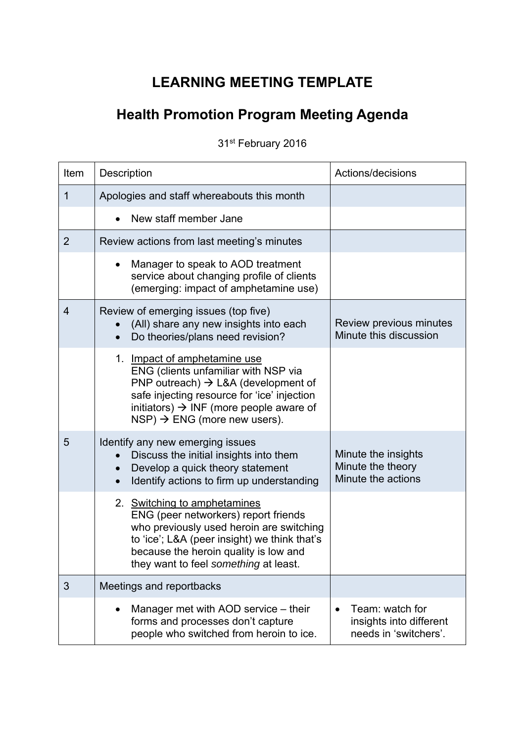### **LEARNING MEETING TEMPLATE**

## **Health Promotion Program Meeting Agenda**

31st February 2016

| Item           | Description                                                                                                                                                                                                                                                                  | Actions/decisions                                                   |
|----------------|------------------------------------------------------------------------------------------------------------------------------------------------------------------------------------------------------------------------------------------------------------------------------|---------------------------------------------------------------------|
| 1              | Apologies and staff whereabouts this month                                                                                                                                                                                                                                   |                                                                     |
|                | New staff member Jane                                                                                                                                                                                                                                                        |                                                                     |
| $\overline{2}$ | Review actions from last meeting's minutes                                                                                                                                                                                                                                   |                                                                     |
|                | Manager to speak to AOD treatment<br>service about changing profile of clients<br>(emerging: impact of amphetamine use)                                                                                                                                                      |                                                                     |
| $\overline{4}$ | Review of emerging issues (top five)<br>(All) share any new insights into each<br>Do theories/plans need revision?                                                                                                                                                           | Review previous minutes<br>Minute this discussion                   |
|                | 1. Impact of amphetamine use<br>ENG (clients unfamiliar with NSP via<br>PNP outreach) $\rightarrow$ L&A (development of<br>safe injecting resource for 'ice' injection<br>initiators) $\rightarrow$ INF (more people aware of<br>$NSP$ ) $\rightarrow$ ENG (more new users). |                                                                     |
| 5              | Identify any new emerging issues<br>Discuss the initial insights into them<br>Develop a quick theory statement<br>Identify actions to firm up understanding                                                                                                                  | Minute the insights<br>Minute the theory<br>Minute the actions      |
|                | 2. Switching to amphetamines<br>ENG (peer networkers) report friends<br>who previously used heroin are switching<br>to 'ice'; L&A (peer insight) we think that's<br>because the heroin quality is low and<br>they want to feel something at least.                           |                                                                     |
| 3              | Meetings and reportbacks                                                                                                                                                                                                                                                     |                                                                     |
|                | Manager met with AOD service - their<br>forms and processes don't capture<br>people who switched from heroin to ice.                                                                                                                                                         | Team: watch for<br>insights into different<br>needs in 'switchers'. |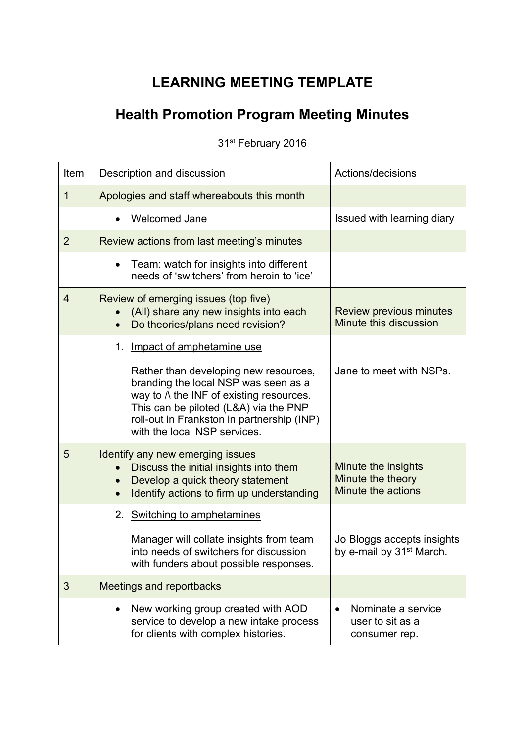### **LEARNING MEETING TEMPLATE**

## **Health Promotion Program Meeting Minutes**

31st February 2016

| Item           | Description and discussion                                                                                                                                                                                                                             | Actions/decisions                                                  |
|----------------|--------------------------------------------------------------------------------------------------------------------------------------------------------------------------------------------------------------------------------------------------------|--------------------------------------------------------------------|
| $\mathbf 1$    | Apologies and staff whereabouts this month                                                                                                                                                                                                             |                                                                    |
|                | <b>Welcomed Jane</b>                                                                                                                                                                                                                                   | Issued with learning diary                                         |
| $\overline{2}$ | Review actions from last meeting's minutes                                                                                                                                                                                                             |                                                                    |
|                | Team: watch for insights into different<br>$\bullet$<br>needs of 'switchers' from heroin to 'ice'                                                                                                                                                      |                                                                    |
| $\overline{4}$ | Review of emerging issues (top five)<br>(All) share any new insights into each<br>Do theories/plans need revision?                                                                                                                                     | <b>Review previous minutes</b><br>Minute this discussion           |
|                | Impact of amphetamine use<br>1.                                                                                                                                                                                                                        |                                                                    |
|                | Rather than developing new resources,<br>branding the local NSP was seen as a<br>way to $\wedge$ the INF of existing resources.<br>This can be piloted (L&A) via the PNP<br>roll-out in Frankston in partnership (INP)<br>with the local NSP services. | Jane to meet with NSPs.                                            |
| 5              | Identify any new emerging issues<br>Discuss the initial insights into them<br>Develop a quick theory statement<br>Identify actions to firm up understanding<br>$\bullet$                                                                               | Minute the insights<br>Minute the theory<br>Minute the actions     |
|                | <b>Switching to amphetamines</b><br>2.<br>Manager will collate insights from team<br>into needs of switchers for discussion<br>with funders about possible responses.                                                                                  | Jo Bloggs accepts insights<br>by e-mail by 31 <sup>st</sup> March. |
| 3              | <b>Meetings and reportbacks</b>                                                                                                                                                                                                                        |                                                                    |
|                | New working group created with AOD<br>service to develop a new intake process<br>for clients with complex histories.                                                                                                                                   | Nominate a service<br>user to sit as a<br>consumer rep.            |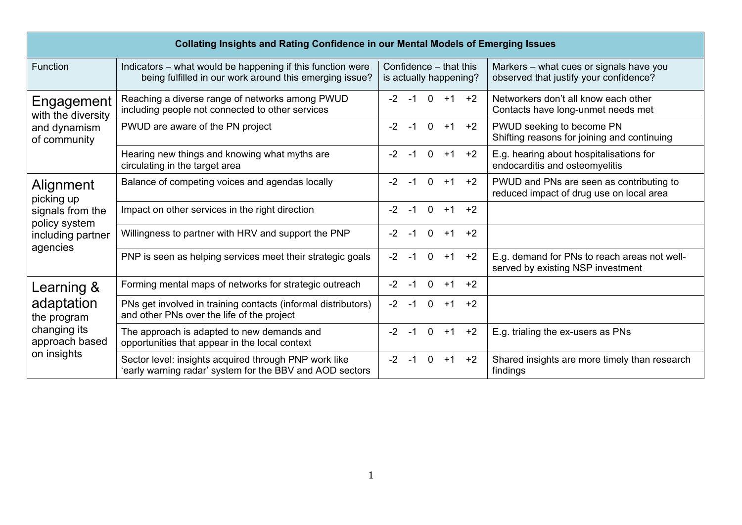| <b>Collating Insights and Rating Confidence in our Mental Models of Emerging Issues</b> |                                                                                                                       |                                                  |                                                                                      |  |  |
|-----------------------------------------------------------------------------------------|-----------------------------------------------------------------------------------------------------------------------|--------------------------------------------------|--------------------------------------------------------------------------------------|--|--|
| Function                                                                                | Indicators – what would be happening if this function were<br>being fulfilled in our work around this emerging issue? | Confidence - that this<br>is actually happening? | Markers – what cues or signals have you<br>observed that justify your confidence?    |  |  |
| Engagement<br>with the diversity                                                        | Reaching a diverse range of networks among PWUD<br>including people not connected to other services                   | $0 + 1$<br>$-2$<br>$-1$<br>$+2$                  | Networkers don't all know each other<br>Contacts have long-unmet needs met           |  |  |
| and dynamism<br>of community                                                            | PWUD are aware of the PN project                                                                                      | $-2$<br>$-1$<br>$0 + 1$<br>$+2$                  | PWUD seeking to become PN<br>Shifting reasons for joining and continuing             |  |  |
|                                                                                         | Hearing new things and knowing what myths are<br>circulating in the target area                                       | $-2$<br>$-1$<br>$0 + 1$<br>$+2$                  | E.g. hearing about hospitalisations for<br>endocarditis and osteomyelitis            |  |  |
| Alignment<br>picking up                                                                 | Balance of competing voices and agendas locally                                                                       | $-2$<br>$\overline{0}$<br>$-1$<br>$+1$<br>$+2$   | PWUD and PNs are seen as contributing to<br>reduced impact of drug use on local area |  |  |
| signals from the<br>policy system                                                       | Impact on other services in the right direction                                                                       | $-2$<br>$-1$<br>$\overline{0}$<br>$+1$<br>$+2$   |                                                                                      |  |  |
| including partner                                                                       | Willingness to partner with HRV and support the PNP                                                                   | $-2$<br>$\Omega$<br>$+2$<br>$-1$<br>$+1$         |                                                                                      |  |  |
| agencies                                                                                | PNP is seen as helping services meet their strategic goals                                                            | $-2$<br>$-1$<br>$\overline{0}$<br>$+1$<br>$+2$   | E.g. demand for PNs to reach areas not well-<br>served by existing NSP investment    |  |  |
| Learning &                                                                              | Forming mental maps of networks for strategic outreach                                                                | $-2$<br>$-1$<br>$\overline{0}$<br>$+2$<br>$+1$   |                                                                                      |  |  |
| adaptation<br>the program<br>changing its<br>approach based                             | PNs get involved in training contacts (informal distributors)<br>and other PNs over the life of the project           | $-2$<br>$\overline{0}$<br>$+2$<br>$-1$<br>$+1$   |                                                                                      |  |  |
|                                                                                         | The approach is adapted to new demands and<br>opportunities that appear in the local context                          | $-2$<br>$-1$<br>$0 + 1$<br>$+2$                  | E.g. trialing the ex-users as PNs                                                    |  |  |
| on insights                                                                             | Sector level: insights acquired through PNP work like<br>early warning radar' system for the BBV and AOD sectors      | $-2$<br>$-1$<br>$0 + 1$<br>$+2$                  | Shared insights are more timely than research<br>findings                            |  |  |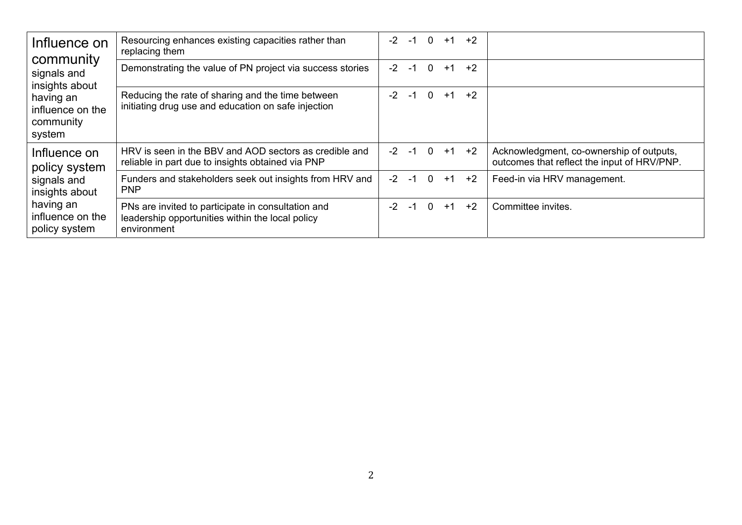| Influence on<br>community<br>signals and<br>insights about | Resourcing enhances existing capacities rather than<br>replacing them                                                 | $-2$ | -1     | $\Omega$       | $+1$ | $+2$                  |                                                                                         |
|------------------------------------------------------------|-----------------------------------------------------------------------------------------------------------------------|------|--------|----------------|------|-----------------------|-----------------------------------------------------------------------------------------|
|                                                            | Demonstrating the value of PN project via success stories                                                             | $-2$ | -1     | $\overline{0}$ | $+1$ | $+2$                  |                                                                                         |
| having an<br>influence on the<br>community<br>system       | Reducing the rate of sharing and the time between<br>initiating drug use and education on safe injection              | $-2$ | $-1$ 0 |                |      | $+1$ $+2$             |                                                                                         |
| Influence on<br>policy system                              | HRV is seen in the BBV and AOD sectors as credible and<br>reliable in part due to insights obtained via PNP           |      |        |                |      | $-2$ $-1$ 0 $+1$ $+2$ | Acknowledgment, co-ownership of outputs,<br>outcomes that reflect the input of HRV/PNP. |
| signals and<br>insights about                              | Funders and stakeholders seek out insights from HRV and<br><b>PNP</b>                                                 |      |        |                |      | $-2$ $-1$ 0 $+1$ $+2$ | Feed-in via HRV management.                                                             |
| having an<br>influence on the<br>policy system             | PNs are invited to participate in consultation and<br>leadership opportunities within the local policy<br>environment | $-2$ | -1     | $\overline{0}$ | $+1$ | $+2$                  | Committee invites.                                                                      |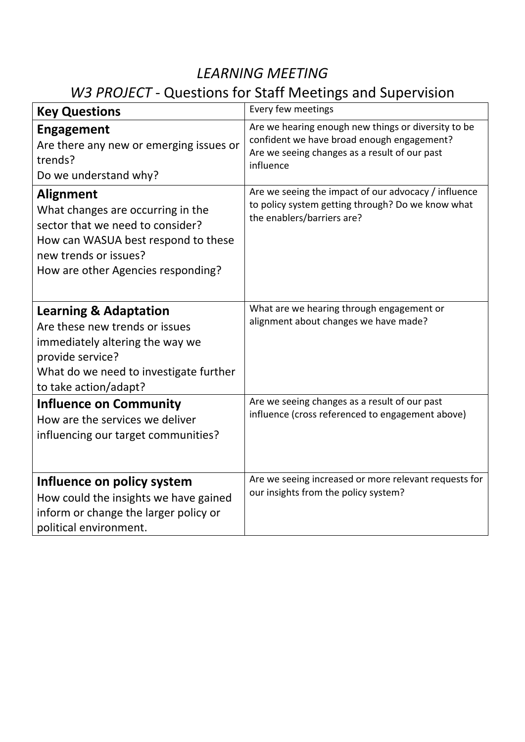### *LEARNING MEETING*

## *W3 PROJECT* ‐ Questions for Staff Meetings and Supervision

| <b>Key Questions</b>                                                                                                                                                                            | Every few meetings                                                                                                                                              |
|-------------------------------------------------------------------------------------------------------------------------------------------------------------------------------------------------|-----------------------------------------------------------------------------------------------------------------------------------------------------------------|
| <b>Engagement</b><br>Are there any new or emerging issues or<br>trends?<br>Do we understand why?                                                                                                | Are we hearing enough new things or diversity to be<br>confident we have broad enough engagement?<br>Are we seeing changes as a result of our past<br>influence |
| <b>Alignment</b><br>What changes are occurring in the<br>sector that we need to consider?<br>How can WASUA best respond to these<br>new trends or issues?<br>How are other Agencies responding? | Are we seeing the impact of our advocacy / influence<br>to policy system getting through? Do we know what<br>the enablers/barriers are?                         |
| <b>Learning &amp; Adaptation</b><br>Are these new trends or issues<br>immediately altering the way we<br>provide service?<br>What do we need to investigate further<br>to take action/adapt?    | What are we hearing through engagement or<br>alignment about changes we have made?                                                                              |
| <b>Influence on Community</b><br>How are the services we deliver<br>influencing our target communities?                                                                                         | Are we seeing changes as a result of our past<br>influence (cross referenced to engagement above)                                                               |
| Influence on policy system<br>How could the insights we have gained<br>inform or change the larger policy or<br>political environment.                                                          | Are we seeing increased or more relevant requests for<br>our insights from the policy system?                                                                   |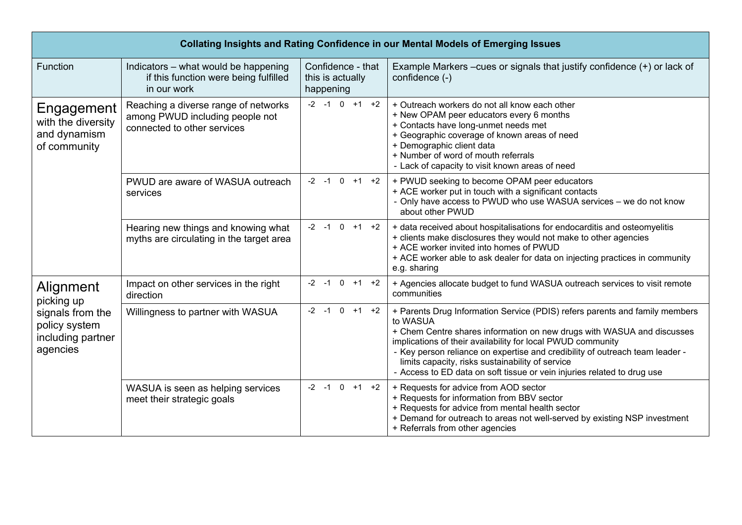| Collating Insights and Rating Confidence in our Mental Models of Emerging Issues              |                                                                                                        |                                                    |                                                                                                                                                                                                                                                                                                                                                                                                                                                 |  |  |
|-----------------------------------------------------------------------------------------------|--------------------------------------------------------------------------------------------------------|----------------------------------------------------|-------------------------------------------------------------------------------------------------------------------------------------------------------------------------------------------------------------------------------------------------------------------------------------------------------------------------------------------------------------------------------------------------------------------------------------------------|--|--|
| Function                                                                                      | Indicators - what would be happening<br>if this function were being fulfilled<br>in our work           | Confidence - that<br>this is actually<br>happening | Example Markers –cues or signals that justify confidence $(+)$ or lack of<br>confidence (-)                                                                                                                                                                                                                                                                                                                                                     |  |  |
| Engagement<br>with the diversity<br>and dynamism<br>of community                              | Reaching a diverse range of networks<br>among PWUD including people not<br>connected to other services | $-2$ $-1$ 0 $+1$ $+2$                              | + Outreach workers do not all know each other<br>+ New OPAM peer educators every 6 months<br>+ Contacts have long-unmet needs met<br>+ Geographic coverage of known areas of need<br>+ Demographic client data<br>+ Number of word of mouth referrals<br>- Lack of capacity to visit known areas of need                                                                                                                                        |  |  |
|                                                                                               | PWUD are aware of WASUA outreach<br>services                                                           | $-2$ $-1$ 0 $+1$ $+2$                              | + PWUD seeking to become OPAM peer educators<br>+ ACE worker put in touch with a significant contacts<br>- Only have access to PWUD who use WASUA services - we do not know<br>about other PWUD                                                                                                                                                                                                                                                 |  |  |
|                                                                                               | Hearing new things and knowing what<br>myths are circulating in the target area                        | $-2$ $-1$ 0 $+1$ $+2$                              | + data received about hospitalisations for endocarditis and osteomyelitis<br>+ clients make disclosures they would not make to other agencies<br>+ ACE worker invited into homes of PWUD<br>+ ACE worker able to ask dealer for data on injecting practices in community<br>e.g. sharing                                                                                                                                                        |  |  |
| Alignment<br>picking up<br>signals from the<br>policy system<br>including partner<br>agencies | Impact on other services in the right<br>direction                                                     | $-2$ $-1$ 0 $+1$ $+2$                              | + Agencies allocate budget to fund WASUA outreach services to visit remote<br>communities                                                                                                                                                                                                                                                                                                                                                       |  |  |
|                                                                                               | Willingness to partner with WASUA                                                                      | $-2$ $-1$ 0 $+1$ $+2$                              | + Parents Drug Information Service (PDIS) refers parents and family members<br>to WASUA<br>+ Chem Centre shares information on new drugs with WASUA and discusses<br>implications of their availability for local PWUD community<br>- Key person reliance on expertise and credibility of outreach team leader -<br>limits capacity, risks sustainability of service<br>- Access to ED data on soft tissue or vein injuries related to drug use |  |  |
|                                                                                               | WASUA is seen as helping services<br>meet their strategic goals                                        | $-2$ $-1$ 0 $+1$ $+2$                              | + Requests for advice from AOD sector<br>+ Requests for information from BBV sector<br>+ Requests for advice from mental health sector<br>+ Demand for outreach to areas not well-served by existing NSP investment<br>+ Referrals from other agencies                                                                                                                                                                                          |  |  |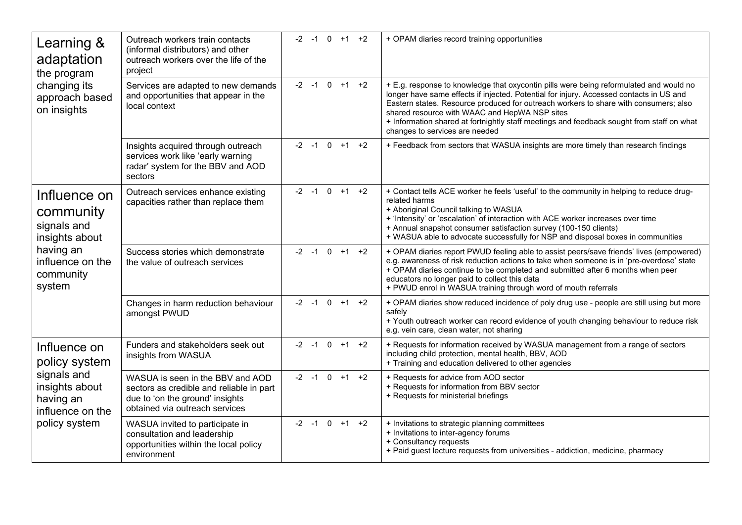| Learning &<br>adaptation<br>the program<br>changing its<br>approach based<br>on insights                           | Outreach workers train contacts<br>(informal distributors) and other<br>outreach workers over the life of the<br>project                          | $-2$ -1 0 +1 +2          | + OPAM diaries record training opportunities                                                                                                                                                                                                                                                                                                                                                                                                              |
|--------------------------------------------------------------------------------------------------------------------|---------------------------------------------------------------------------------------------------------------------------------------------------|--------------------------|-----------------------------------------------------------------------------------------------------------------------------------------------------------------------------------------------------------------------------------------------------------------------------------------------------------------------------------------------------------------------------------------------------------------------------------------------------------|
|                                                                                                                    | Services are adapted to new demands<br>and opportunities that appear in the<br>local context                                                      | $-2$ $-1$ 0 $+1$ $+2$    | + E.g. response to knowledge that oxycontin pills were being reformulated and would no<br>longer have same effects if injected. Potential for injury. Accessed contacts in US and<br>Eastern states. Resource produced for outreach workers to share with consumers; also<br>shared resource with WAAC and HepWA NSP sites<br>+ Information shared at fortnightly staff meetings and feedback sought from staff on what<br>changes to services are needed |
|                                                                                                                    | Insights acquired through outreach<br>services work like 'early warning<br>radar' system for the BBV and AOD<br>sectors                           | $-2$ $-1$ 0 $+1$ $+2$    | + Feedback from sectors that WASUA insights are more timely than research findings                                                                                                                                                                                                                                                                                                                                                                        |
| Influence on<br>community<br>signals and<br>insights about<br>having an<br>influence on the<br>community<br>system | Outreach services enhance existing<br>capacities rather than replace them                                                                         | $-2$ $-1$ 0 $+1$ $+2$    | + Contact tells ACE worker he feels 'useful' to the community in helping to reduce drug-<br>related harms<br>+ Aboriginal Council talking to WASUA<br>+ 'Intensity' or 'escalation' of interaction with ACE worker increases over time<br>+ Annual snapshot consumer satisfaction survey (100-150 clients)<br>+ WASUA able to advocate successfully for NSP and disposal boxes in communities                                                             |
|                                                                                                                    | Success stories which demonstrate<br>the value of outreach services                                                                               | $-2$ $-1$ 0<br>$+1$ $+2$ | + OPAM diaries report PWUD feeling able to assist peers/save friends' lives (empowered)<br>e.g. awareness of risk reduction actions to take when someone is in 'pre-overdose' state<br>+ OPAM diaries continue to be completed and submitted after 6 months when peer<br>educators no longer paid to collect this data<br>+ PWUD enrol in WASUA training through word of mouth referrals                                                                  |
|                                                                                                                    | Changes in harm reduction behaviour<br>amongst PWUD                                                                                               | $-2$ $-1$ 0 $+1$ $+2$    | + OPAM diaries show reduced incidence of poly drug use - people are still using but more<br>safely<br>+ Youth outreach worker can record evidence of youth changing behaviour to reduce risk<br>e.g. vein care, clean water, not sharing                                                                                                                                                                                                                  |
| Influence on<br>policy system                                                                                      | Funders and stakeholders seek out<br>insights from WASUA                                                                                          | $-2$ $-1$ 0 $+1$ $+2$    | + Requests for information received by WASUA management from a range of sectors<br>including child protection, mental health, BBV, AOD<br>+ Training and education delivered to other agencies                                                                                                                                                                                                                                                            |
| signals and<br>insights about<br>having an<br>influence on the<br>policy system                                    | WASUA is seen in the BBV and AOD<br>sectors as credible and reliable in part<br>due to 'on the ground' insights<br>obtained via outreach services | $-2$ $-1$ 0 $+1$ $+2$    | + Requests for advice from AOD sector<br>+ Requests for information from BBV sector<br>+ Requests for ministerial briefings                                                                                                                                                                                                                                                                                                                               |
|                                                                                                                    | WASUA invited to participate in<br>consultation and leadership<br>opportunities within the local policy<br>environment                            | $-2$ $-1$ 0 $+1$ $+2$    | + Invitations to strategic planning committees<br>+ Invitations to inter-agency forums<br>+ Consultancy requests<br>+ Paid guest lecture requests from universities - addiction, medicine, pharmacy                                                                                                                                                                                                                                                       |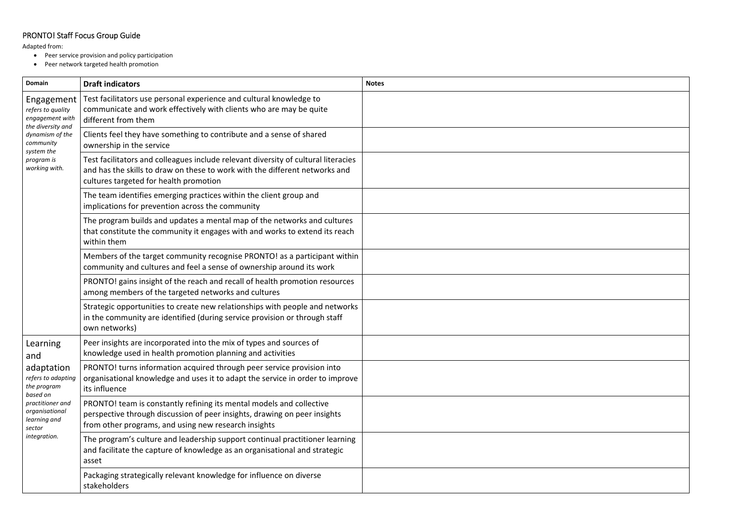### PRONTO! Staff Focus Group Guide

Adapted from:

- Peer service provision and policy participation
- Peer network targeted health promotion

| <b>Domain</b>                                                                                                               | <b>Draft indicators</b>                                                                                                                                                                                     | <b>Notes</b> |
|-----------------------------------------------------------------------------------------------------------------------------|-------------------------------------------------------------------------------------------------------------------------------------------------------------------------------------------------------------|--------------|
| Engagement<br>refers to quality<br>engagement with                                                                          | Test facilitators use personal experience and cultural knowledge to<br>communicate and work effectively with clients who are may be quite<br>different from them                                            |              |
| the diversity and<br>dynamism of the<br>community<br>system the                                                             | Clients feel they have something to contribute and a sense of shared<br>ownership in the service                                                                                                            |              |
| program is<br>working with.                                                                                                 | Test facilitators and colleagues include relevant diversity of cultural literacies<br>and has the skills to draw on these to work with the different networks and<br>cultures targeted for health promotion |              |
|                                                                                                                             | The team identifies emerging practices within the client group and<br>implications for prevention across the community                                                                                      |              |
|                                                                                                                             | The program builds and updates a mental map of the networks and cultures<br>that constitute the community it engages with and works to extend its reach<br>within them                                      |              |
|                                                                                                                             | Members of the target community recognise PRONTO! as a participant within<br>community and cultures and feel a sense of ownership around its work                                                           |              |
|                                                                                                                             | PRONTO! gains insight of the reach and recall of health promotion resources<br>among members of the targeted networks and cultures                                                                          |              |
|                                                                                                                             | Strategic opportunities to create new relationships with people and networks<br>in the community are identified (during service provision or through staff<br>own networks)                                 |              |
| Learning<br>and                                                                                                             | Peer insights are incorporated into the mix of types and sources of<br>knowledge used in health promotion planning and activities                                                                           |              |
| adaptation<br>refers to adapting<br>the program<br>based on<br>practitioner and<br>organisational<br>learning and<br>sector | PRONTO! turns information acquired through peer service provision into<br>organisational knowledge and uses it to adapt the service in order to improve<br>its influence                                    |              |
|                                                                                                                             | PRONTO! team is constantly refining its mental models and collective<br>perspective through discussion of peer insights, drawing on peer insights<br>from other programs, and using new research insights   |              |
| integration.                                                                                                                | The program's culture and leadership support continual practitioner learning<br>and facilitate the capture of knowledge as an organisational and strategic<br>asset                                         |              |
|                                                                                                                             | Packaging strategically relevant knowledge for influence on diverse<br>stakeholders                                                                                                                         |              |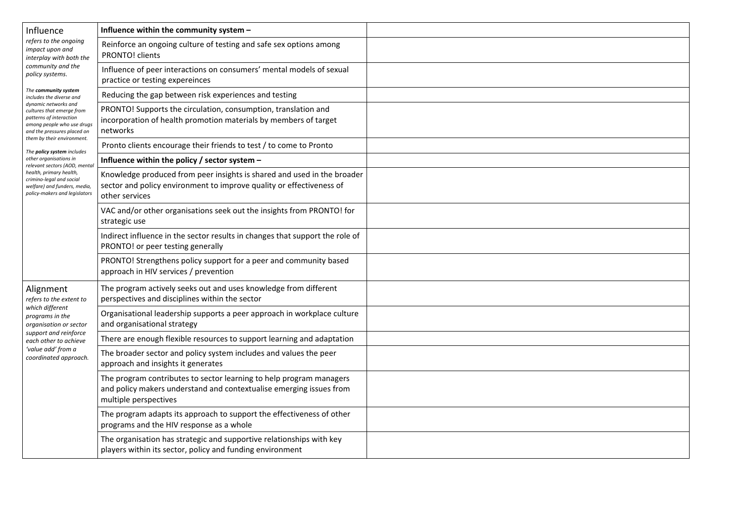| Influence                                                                                                                                                               | Influence within the community system -                                                                                                                             |  |
|-------------------------------------------------------------------------------------------------------------------------------------------------------------------------|---------------------------------------------------------------------------------------------------------------------------------------------------------------------|--|
| refers to the ongoing<br>impact upon and<br>interplay with both the                                                                                                     | Reinforce an ongoing culture of testing and safe sex options among<br><b>PRONTO! clients</b>                                                                        |  |
| community and the<br>policy systems.                                                                                                                                    | Influence of peer interactions on consumers' mental models of sexual<br>practice or testing expereinces                                                             |  |
| The community system<br>includes the diverse and                                                                                                                        | Reducing the gap between risk experiences and testing                                                                                                               |  |
| dynamic networks and<br>cultures that emerge from<br>patterns of interaction<br>among people who use drugs<br>and the pressures placed on<br>them by their environment. | PRONTO! Supports the circulation, consumption, translation and<br>incorporation of health promotion materials by members of target<br>networks                      |  |
| The policy system includes                                                                                                                                              | Pronto clients encourage their friends to test / to come to Pronto                                                                                                  |  |
| other organisations in<br>relevant sectors (AOD, mental                                                                                                                 | Influence within the policy / sector system $-$                                                                                                                     |  |
| health, primary health,<br>crimino-legal and social<br>welfare) and funders, media,<br>policy-makers and legislators                                                    | Knowledge produced from peer insights is shared and used in the broader<br>sector and policy environment to improve quality or effectiveness of<br>other services   |  |
|                                                                                                                                                                         | VAC and/or other organisations seek out the insights from PRONTO! for<br>strategic use                                                                              |  |
|                                                                                                                                                                         | Indirect influence in the sector results in changes that support the role of<br>PRONTO! or peer testing generally                                                   |  |
|                                                                                                                                                                         | PRONTO! Strengthens policy support for a peer and community based<br>approach in HIV services / prevention                                                          |  |
| Alignment<br>refers to the extent to                                                                                                                                    | The program actively seeks out and uses knowledge from different<br>perspectives and disciplines within the sector                                                  |  |
| which different<br>programs in the<br>organisation or sector                                                                                                            | Organisational leadership supports a peer approach in workplace culture<br>and organisational strategy                                                              |  |
| support and reinforce<br>each other to achieve                                                                                                                          | There are enough flexible resources to support learning and adaptation                                                                                              |  |
| 'value add' from a<br>coordinated approach.                                                                                                                             | The broader sector and policy system includes and values the peer<br>approach and insights it generates                                                             |  |
|                                                                                                                                                                         | The program contributes to sector learning to help program managers<br>and policy makers understand and contextualise emerging issues from<br>multiple perspectives |  |
|                                                                                                                                                                         | The program adapts its approach to support the effectiveness of other<br>programs and the HIV response as a whole                                                   |  |
|                                                                                                                                                                         | The organisation has strategic and supportive relationships with key<br>players within its sector, policy and funding environment                                   |  |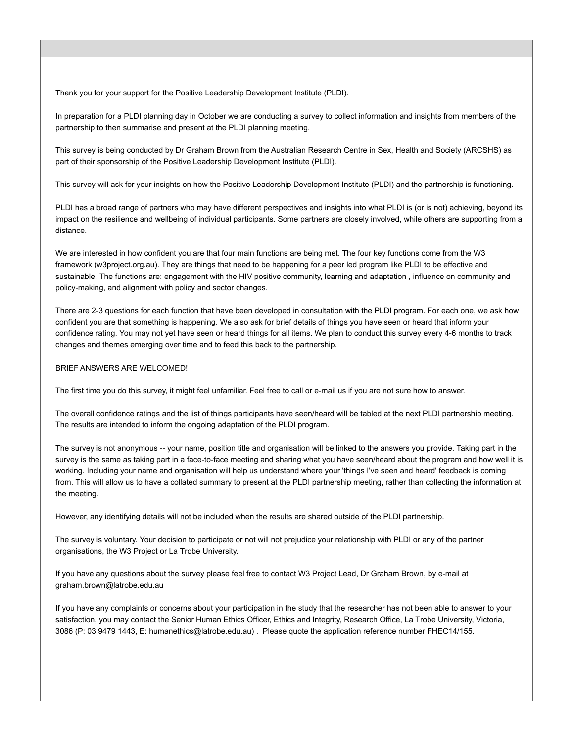Thank you for your support for the Positive Leadership Development Institute (PLDI).

In preparation for a PLDI planning day in October we are conducting a survey to collect information and insights from members of the partnership to then summarise and present at the PLDI planning meeting.

This survey is being conducted by Dr Graham Brown from the Australian Research Centre in Sex, Health and Society (ARCSHS) as part of their sponsorship of the Positive Leadership Development Institute (PLDI).

This survey will ask for your insights on how the Positive Leadership Development Institute (PLDI) and the partnership is functioning.

PLDI has a broad range of partners who may have different perspectives and insights into what PLDI is (or is not) achieving, beyond its impact on the resilience and wellbeing of individual participants. Some partners are closely involved, while others are supporting from a distance.

We are interested in how confident you are that four main functions are being met. The four key functions come from the W3 framework (w3project.org.au). They are things that need to be happening for a peer led program like PLDI to be effective and sustainable. The functions are: engagement with the HIV positive community, learning and adaptation , influence on community and policy-making, and alignment with policy and sector changes.

There are 2-3 questions for each function that have been developed in consultation with the PLDI program. For each one, we ask how confident you are that something is happening. We also ask for brief details of things you have seen or heard that inform your confidence rating. You may not yet have seen or heard things for all items. We plan to conduct this survey every 4-6 months to track changes and themes emerging over time and to feed this back to the partnership.

#### BRIEF ANSWERS ARE WELCOMED!

The first time you do this survey, it might feel unfamiliar. Feel free to call or e-mail us if you are not sure how to answer.

The overall confidence ratings and the list of things participants have seen/heard will be tabled at the next PLDI partnership meeting. The results are intended to inform the ongoing adaptation of the PLDI program.

The survey is not anonymous -- your name, position title and organisation will be linked to the answers you provide. Taking part in the survey is the same as taking part in a face-to-face meeting and sharing what you have seen/heard about the program and how well it is working. Including your name and organisation will help us understand where your 'things I've seen and heard' feedback is coming from. This will allow us to have a collated summary to present at the PLDI partnership meeting, rather than collecting the information at the meeting.

However, any identifying details will not be included when the results are shared outside of the PLDI partnership.

The survey is voluntary. Your decision to participate or not will not prejudice your relationship with PLDI or any of the partner organisations, the W3 Project or La Trobe University.

If you have any questions about the survey please feel free to contact W3 Project Lead, Dr Graham Brown, by e-mail at graham.brown@latrobe.edu.au

If you have any complaints or concerns about your participation in the study that the researcher has not been able to answer to your satisfaction, you may contact the Senior Human Ethics Officer, Ethics and Integrity, Research Office, La Trobe University, Victoria, 3086 (P: 03 9479 1443, E: humanethics@latrobe.edu.au) . Please quote the application reference number FHEC14/155.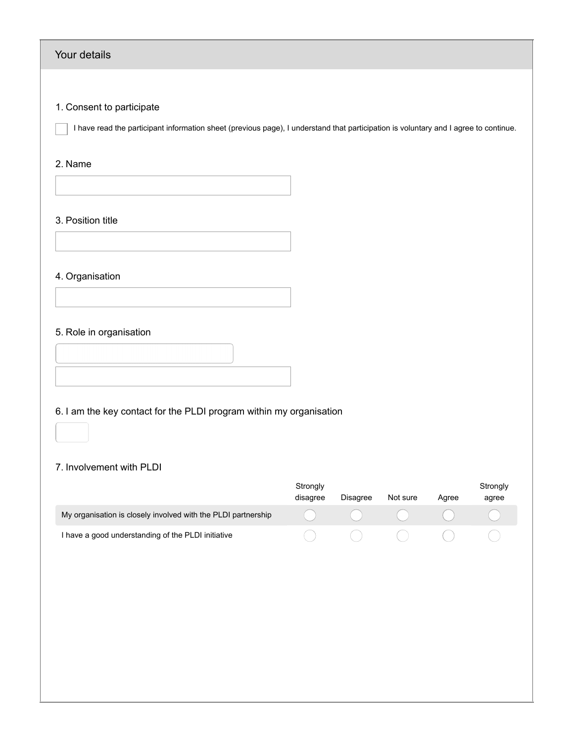#### Your details

#### 1. Consent to participate

I have read the participant information sheet (previous page), I understand that participation is voluntary and I agree to continue.

#### 2. Name

3. Position title

#### 4. Organisation

#### 5. Role in organisation

6. I am the key contact for the PLDI program within my organisation

#### 7. Involvement with PLDI

|                                                               | Strongly |          |                                                        |       | Strongly |
|---------------------------------------------------------------|----------|----------|--------------------------------------------------------|-------|----------|
|                                                               | disagree | Disagree | Not sure                                               | Aaree | agree    |
| My organisation is closely involved with the PLDI partnership |          |          | $\begin{pmatrix} 1 & 1 & 1 \\ 1 & 1 & 1 \end{pmatrix}$ |       |          |
| I have a good understanding of the PLDI initiative            |          |          | $\begin{pmatrix} 1 & 1 \\ 1 & 1 \end{pmatrix}$         |       |          |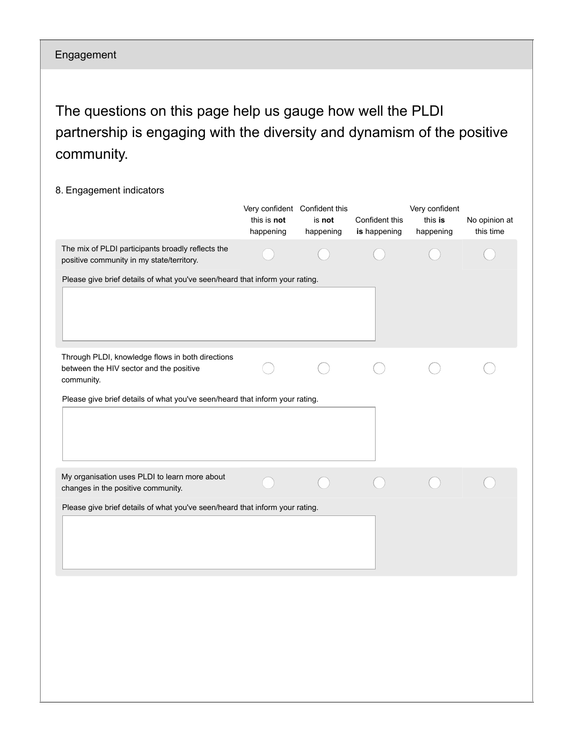### Engagement

The questions on this page help us gauge how well the PLDI partnership is engaging with the diversity and dynamism of the positive community.

#### 8. Engagement indicators

|                                                                                                           | Very confident Confident this<br>this is not<br>happening | is not<br>happening | Confident this<br>is happening | Very confident<br>this is<br>happening | No opinion at<br>this time |
|-----------------------------------------------------------------------------------------------------------|-----------------------------------------------------------|---------------------|--------------------------------|----------------------------------------|----------------------------|
| The mix of PLDI participants broadly reflects the<br>positive community in my state/territory.            |                                                           |                     |                                |                                        |                            |
| Please give brief details of what you've seen/heard that inform your rating.                              |                                                           |                     |                                |                                        |                            |
| Through PLDI, knowledge flows in both directions<br>between the HIV sector and the positive<br>community. |                                                           |                     |                                |                                        |                            |
| Please give brief details of what you've seen/heard that inform your rating.                              |                                                           |                     |                                |                                        |                            |
| My organisation uses PLDI to learn more about<br>changes in the positive community.                       |                                                           |                     |                                |                                        |                            |
| Please give brief details of what you've seen/heard that inform your rating.                              |                                                           |                     |                                |                                        |                            |
|                                                                                                           |                                                           |                     |                                |                                        |                            |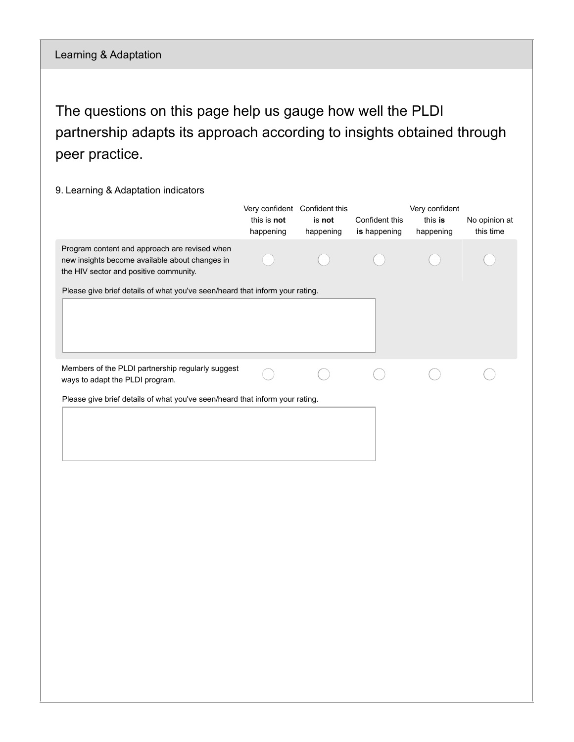The questions on this page help us gauge how well the PLDI partnership adapts its approach according to insights obtained through peer practice.

#### 9. Learning & Adaptation indicators

|                                                                                                                                           | this is not<br>happening | Very confident Confident this<br>is not<br>happening | Confident this<br>is happening | Very confident<br>this is<br>happening | No opinion at<br>this time |
|-------------------------------------------------------------------------------------------------------------------------------------------|--------------------------|------------------------------------------------------|--------------------------------|----------------------------------------|----------------------------|
| Program content and approach are revised when<br>new insights become available about changes in<br>the HIV sector and positive community. |                          |                                                      |                                |                                        |                            |
| Please give brief details of what you've seen/heard that inform your rating.                                                              |                          |                                                      |                                |                                        |                            |
| Members of the PLDI partnership regularly suggest<br>ways to adapt the PLDI program.                                                      |                          |                                                      |                                |                                        |                            |
| Please give brief details of what you've seen/heard that inform your rating.                                                              |                          |                                                      |                                |                                        |                            |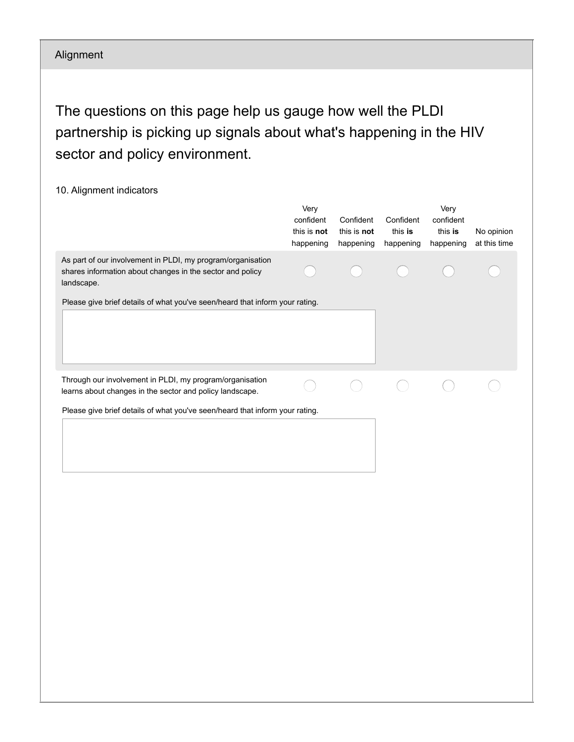### Alignment

The questions on this page help us gauge how well the PLDI partnership is picking up signals about what's happening in the HIV sector and policy environment.

| 10. Alignment indicators                                                                                                               |                                               |                                       |                                   |                                           |                            |
|----------------------------------------------------------------------------------------------------------------------------------------|-----------------------------------------------|---------------------------------------|-----------------------------------|-------------------------------------------|----------------------------|
|                                                                                                                                        | Very<br>confident<br>this is not<br>happening | Confident<br>this is not<br>happening | Confident<br>this is<br>happening | Very<br>confident<br>this is<br>happening | No opinion<br>at this time |
| As part of our involvement in PLDI, my program/organisation<br>shares information about changes in the sector and policy<br>landscape. |                                               |                                       |                                   |                                           |                            |
| Please give brief details of what you've seen/heard that inform your rating.                                                           |                                               |                                       |                                   |                                           |                            |
|                                                                                                                                        |                                               |                                       |                                   |                                           |                            |
| Through our involvement in PLDI, my program/organisation<br>learns about changes in the sector and policy landscape.                   |                                               |                                       |                                   |                                           |                            |
| Please give brief details of what you've seen/heard that inform your rating.                                                           |                                               |                                       |                                   |                                           |                            |
|                                                                                                                                        |                                               |                                       |                                   |                                           |                            |
|                                                                                                                                        |                                               |                                       |                                   |                                           |                            |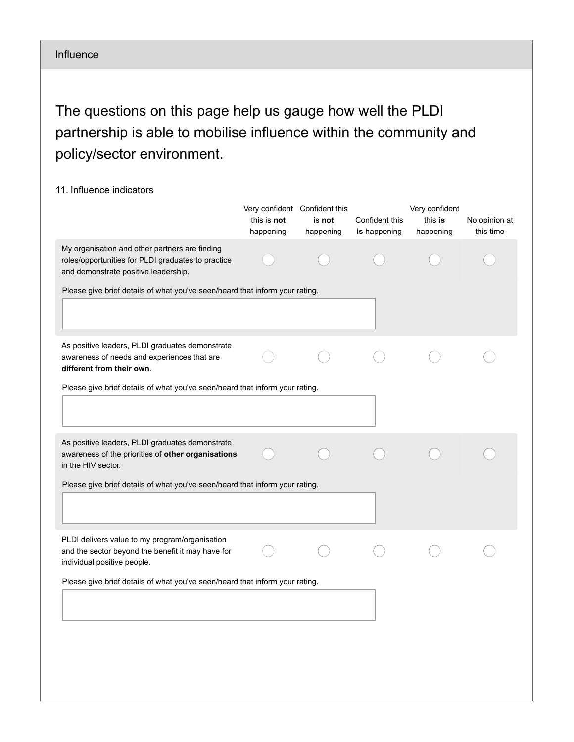#### Influence

The questions on this page help us gauge how well the PLDI partnership is able to mobilise influence within the community and policy/sector environment.

#### 11. Influence indicators

|                                                                                                                                              | Very confident Confident this |           |                | Very confident |               |
|----------------------------------------------------------------------------------------------------------------------------------------------|-------------------------------|-----------|----------------|----------------|---------------|
|                                                                                                                                              | this is not                   | is not    | Confident this | this is        | No opinion at |
|                                                                                                                                              | happening                     | happening | is happening   | happening      | this time     |
| My organisation and other partners are finding<br>roles/opportunities for PLDI graduates to practice<br>and demonstrate positive leadership. |                               |           |                |                |               |
| Please give brief details of what you've seen/heard that inform your rating.                                                                 |                               |           |                |                |               |
|                                                                                                                                              |                               |           |                |                |               |
| As positive leaders, PLDI graduates demonstrate<br>awareness of needs and experiences that are<br>different from their own.                  |                               |           |                |                |               |
| Please give brief details of what you've seen/heard that inform your rating.                                                                 |                               |           |                |                |               |
|                                                                                                                                              |                               |           |                |                |               |
| As positive leaders, PLDI graduates demonstrate<br>awareness of the priorities of other organisations<br>in the HIV sector.                  |                               |           |                |                |               |
| Please give brief details of what you've seen/heard that inform your rating.                                                                 |                               |           |                |                |               |
|                                                                                                                                              |                               |           |                |                |               |
| PLDI delivers value to my program/organisation<br>and the sector beyond the benefit it may have for<br>individual positive people.           |                               |           |                |                |               |
| Please give brief details of what you've seen/heard that inform your rating.                                                                 |                               |           |                |                |               |
|                                                                                                                                              |                               |           |                |                |               |
|                                                                                                                                              |                               |           |                |                |               |
|                                                                                                                                              |                               |           |                |                |               |
|                                                                                                                                              |                               |           |                |                |               |
|                                                                                                                                              |                               |           |                |                |               |
|                                                                                                                                              |                               |           |                |                |               |
|                                                                                                                                              |                               |           |                |                |               |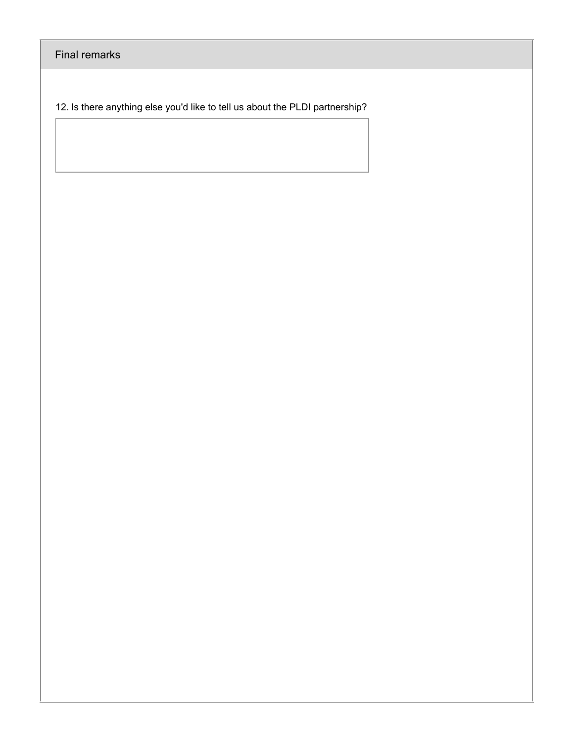Final remarks

12. Is there anything else you'd like to tell us about the PLDI partnership?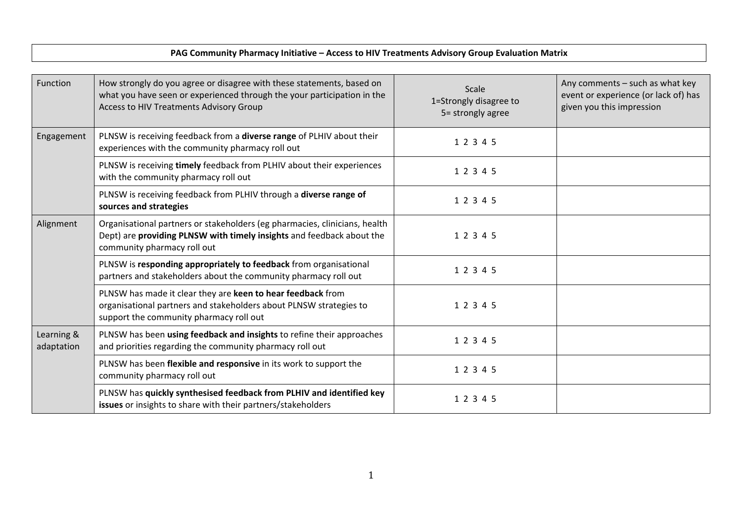#### **PAG Community Pharmacy Initiative – Access to HIV Treatments Advisory Group Evaluation Matrix**

| Function                 | How strongly do you agree or disagree with these statements, based on<br>what you have seen or experienced through the your participation in the<br>Access to HIV Treatments Advisory Group | Scale<br>1=Strongly disagree to<br>5= strongly agree | Any comments - such as what key<br>event or experience (or lack of) has<br>given you this impression |
|--------------------------|---------------------------------------------------------------------------------------------------------------------------------------------------------------------------------------------|------------------------------------------------------|------------------------------------------------------------------------------------------------------|
| Engagement               | PLNSW is receiving feedback from a diverse range of PLHIV about their<br>experiences with the community pharmacy roll out                                                                   | 1 2 3 4 5                                            |                                                                                                      |
|                          | PLNSW is receiving timely feedback from PLHIV about their experiences<br>with the community pharmacy roll out                                                                               | 1 2 3 4 5                                            |                                                                                                      |
|                          | PLNSW is receiving feedback from PLHIV through a diverse range of<br>sources and strategies                                                                                                 | 1 2 3 4 5                                            |                                                                                                      |
| Alignment                | Organisational partners or stakeholders (eg pharmacies, clinicians, health<br>Dept) are providing PLNSW with timely insights and feedback about the<br>community pharmacy roll out          | 1 2 3 4 5                                            |                                                                                                      |
|                          | PLNSW is responding appropriately to feedback from organisational<br>partners and stakeholders about the community pharmacy roll out                                                        | 1 2 3 4 5                                            |                                                                                                      |
|                          | PLNSW has made it clear they are keen to hear feedback from<br>organisational partners and stakeholders about PLNSW strategies to<br>support the community pharmacy roll out                | 1 2 3 4 5                                            |                                                                                                      |
| Learning &<br>adaptation | PLNSW has been using feedback and insights to refine their approaches<br>and priorities regarding the community pharmacy roll out                                                           | 1 2 3 4 5                                            |                                                                                                      |
|                          | PLNSW has been flexible and responsive in its work to support the<br>community pharmacy roll out                                                                                            | 1 2 3 4 5                                            |                                                                                                      |
|                          | PLNSW has quickly synthesised feedback from PLHIV and identified key<br>issues or insights to share with their partners/stakeholders                                                        | 1 2 3 4 5                                            |                                                                                                      |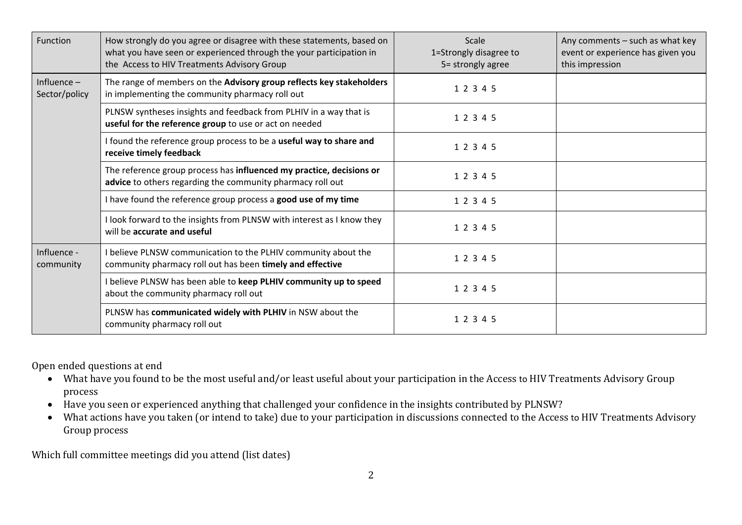| Function                                                       | How strongly do you agree or disagree with these statements, based on<br>what you have seen or experienced through the your participation in<br>the Access to HIV Treatments Advisory Group | Scale<br>1=Strongly disagree to<br>5= strongly agree | Any comments – such as what key<br>event or experience has given you<br>this impression |
|----------------------------------------------------------------|---------------------------------------------------------------------------------------------------------------------------------------------------------------------------------------------|------------------------------------------------------|-----------------------------------------------------------------------------------------|
| Influence $-$<br>Sector/policy                                 | The range of members on the Advisory group reflects key stakeholders<br>in implementing the community pharmacy roll out                                                                     | 1 2 3 4 5                                            |                                                                                         |
|                                                                | PLNSW syntheses insights and feedback from PLHIV in a way that is<br>useful for the reference group to use or act on needed                                                                 | 1 2 3 4 5                                            |                                                                                         |
|                                                                | I found the reference group process to be a useful way to share and<br>receive timely feedback                                                                                              | 1 2 3 4 5                                            |                                                                                         |
|                                                                | The reference group process has influenced my practice, decisions or<br>advice to others regarding the community pharmacy roll out                                                          | 1 2 3 4 5                                            |                                                                                         |
| I have found the reference group process a good use of my time |                                                                                                                                                                                             | 1 2 3 4 5                                            |                                                                                         |
|                                                                | I look forward to the insights from PLNSW with interest as I know they<br>will be accurate and useful                                                                                       | 1 2 3 4 5                                            |                                                                                         |
| Influence -<br>community                                       | believe PLNSW communication to the PLHIV community about the<br>community pharmacy roll out has been timely and effective                                                                   | 1 2 3 4 5                                            |                                                                                         |
|                                                                | I believe PLNSW has been able to keep PLHIV community up to speed<br>about the community pharmacy roll out                                                                                  | 1 2 3 4 5                                            |                                                                                         |
|                                                                | PLNSW has communicated widely with PLHIV in NSW about the<br>community pharmacy roll out                                                                                                    | 1 2 3 4 5                                            |                                                                                         |

Open ended questions at end

- What have you found to be the most useful and/or least useful about your participation in the Access to HIV Treatments Advisory Group process
- Have you seen or experienced anything that challenged your confidence in the insights contributed by PLNSW?
- What actions have you taken (or intend to take) due to your participation in discussions connected to the Access to HIV Treatments Advisory Group process

Which full committee meetings did you attend (list dates)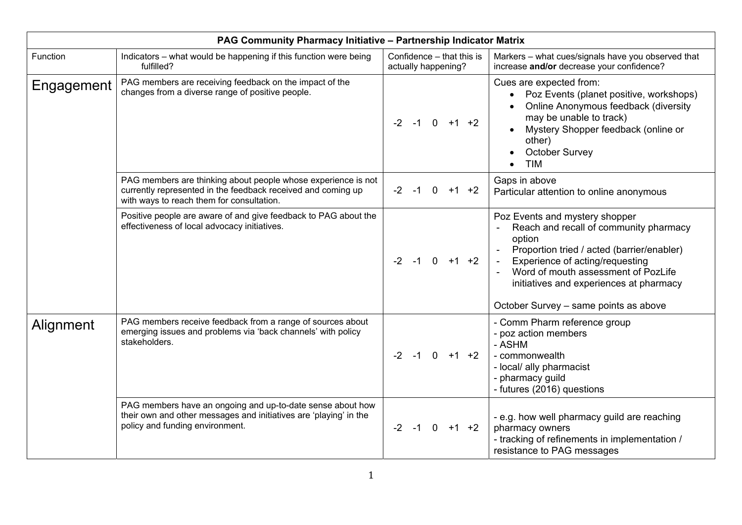|            | PAG Community Pharmacy Initiative - Partnership Indicator Matrix                                                                                                           |                                                  |                                                                                                                                                                                                                                                                                                |  |  |  |
|------------|----------------------------------------------------------------------------------------------------------------------------------------------------------------------------|--------------------------------------------------|------------------------------------------------------------------------------------------------------------------------------------------------------------------------------------------------------------------------------------------------------------------------------------------------|--|--|--|
| Function   | Indicators - what would be happening if this function were being<br>fulfilled?                                                                                             | Confidence - that this is<br>actually happening? | Markers - what cues/signals have you observed that<br>increase and/or decrease your confidence?                                                                                                                                                                                                |  |  |  |
| Engagement | PAG members are receiving feedback on the impact of the<br>changes from a diverse range of positive people.                                                                | $-2$ $-1$ 0 $+1$ $+2$                            | Cues are expected from:<br>Poz Events (planet positive, workshops)<br>Online Anonymous feedback (diversity<br>may be unable to track)<br>Mystery Shopper feedback (online or<br>other)<br>October Survey<br><b>TIM</b>                                                                         |  |  |  |
|            | PAG members are thinking about people whose experience is not<br>currently represented in the feedback received and coming up<br>with ways to reach them for consultation. | $-2 - 1$<br>$\overline{0}$<br>$+1$ +2            | Gaps in above<br>Particular attention to online anonymous                                                                                                                                                                                                                                      |  |  |  |
|            | Positive people are aware of and give feedback to PAG about the<br>effectiveness of local advocacy initiatives.                                                            | $-2$ $-1$ 0 $+1$ $+2$                            | Poz Events and mystery shopper<br>Reach and recall of community pharmacy<br>option<br>Proportion tried / acted (barrier/enabler)<br>Experience of acting/requesting<br>Word of mouth assessment of PozLife<br>initiatives and experiences at pharmacy<br>October Survey - same points as above |  |  |  |
| Alignment  | PAG members receive feedback from a range of sources about<br>emerging issues and problems via 'back channels' with policy<br>stakeholders.                                | $-2$ $-1$ 0 $+1$ $+2$                            | - Comm Pharm reference group<br>- poz action members<br>- ASHM<br>- commonwealth<br>- local/ ally pharmacist<br>- pharmacy guild<br>- futures (2016) questions                                                                                                                                 |  |  |  |
|            | PAG members have an ongoing and up-to-date sense about how<br>their own and other messages and initiatives are 'playing' in the<br>policy and funding environment.         | $-2$ $-1$ 0 $+1$ $+2$                            | - e.g. how well pharmacy guild are reaching<br>pharmacy owners<br>- tracking of refinements in implementation /<br>resistance to PAG messages                                                                                                                                                  |  |  |  |